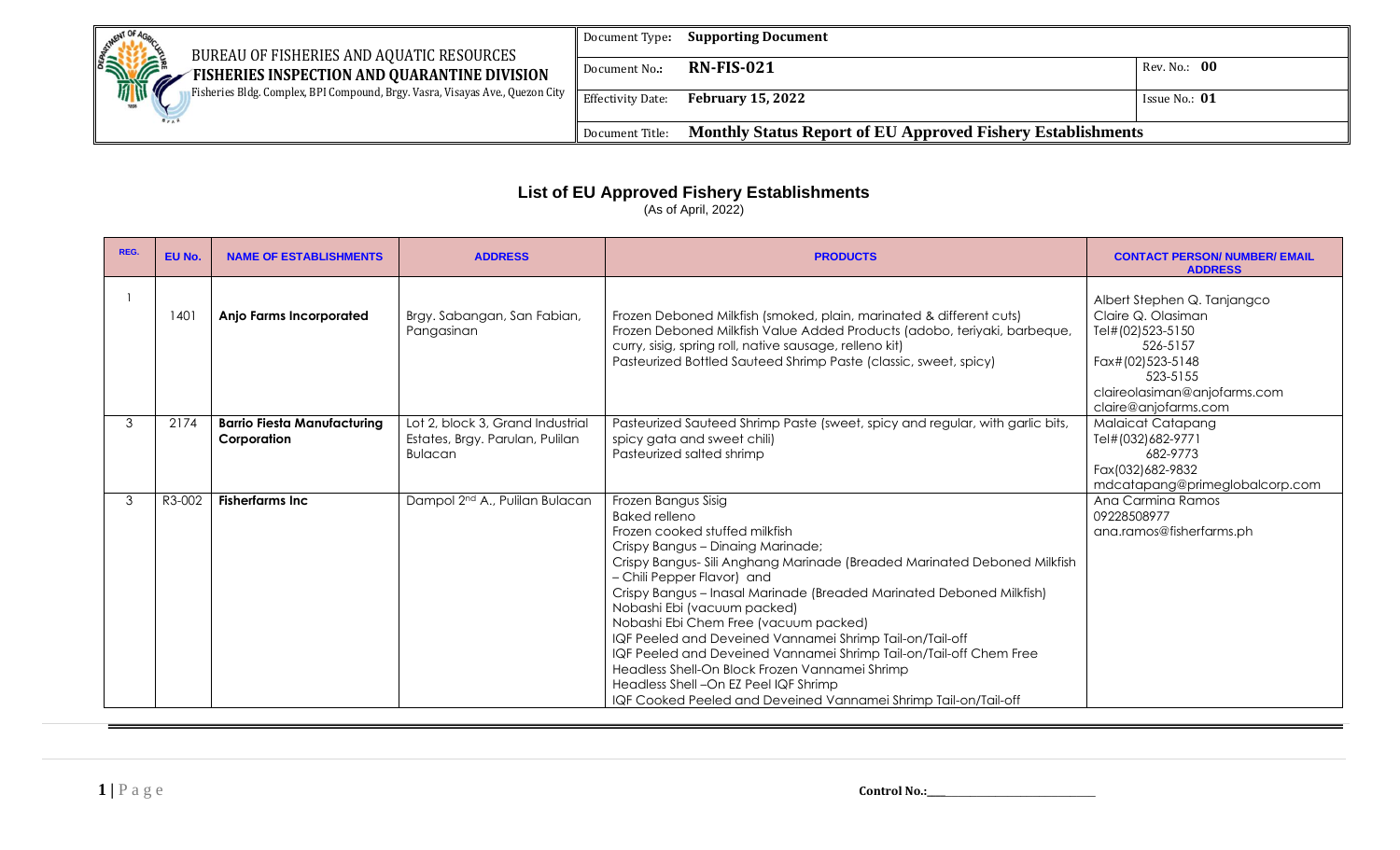| BUREAU OF FISHERIES AND AQUATIC RESOURCES                                     | Document Type:           | <b>Supporting Document</b>                                         |               |
|-------------------------------------------------------------------------------|--------------------------|--------------------------------------------------------------------|---------------|
| <b>READER</b><br>FISHERIES INSPECTION AND QUARANTINE DIVISION                 | Document No.:            | <b>RN-FIS-021</b>                                                  | Rev. No.: 00  |
| Fisheries Bldg. Complex, BPI Compound, Brgy. Vasra, Visayas Ave., Quezon City | <b>Effectivity Date:</b> | <b>February 15, 2022</b>                                           | Issue No.: 01 |
|                                                                               | Document Title:          | <b>Monthly Status Report of EU Approved Fishery Establishments</b> |               |

## **List of EU Approved Fishery Establishments**

(As of April, 2022)

| REG. | EU No. | <b>NAME OF ESTABLISHMENTS</b>                     | <b>ADDRESS</b>                                                                        | <b>PRODUCTS</b>                                                                                                                                                                                                                                                                                                                                                                                                                                                                                                                                                                                                                                                               | <b>CONTACT PERSON/ NUMBER/ EMAIL</b><br><b>ADDRESS</b>                                                                                                                    |
|------|--------|---------------------------------------------------|---------------------------------------------------------------------------------------|-------------------------------------------------------------------------------------------------------------------------------------------------------------------------------------------------------------------------------------------------------------------------------------------------------------------------------------------------------------------------------------------------------------------------------------------------------------------------------------------------------------------------------------------------------------------------------------------------------------------------------------------------------------------------------|---------------------------------------------------------------------------------------------------------------------------------------------------------------------------|
|      | 1401   | <b>Anjo Farms Incorporated</b>                    | Brgy. Sabangan, San Fabian,<br>Pangasinan                                             | Frozen Deboned Milkfish (smoked, plain, marinated & different cuts)<br>Frozen Deboned Milkfish Value Added Products (adobo, teriyaki, barbeque,<br>curry, sisig, spring roll, native sausage, relleno kit)<br>Pasteurized Bottled Sauteed Shrimp Paste (classic, sweet, spicy)                                                                                                                                                                                                                                                                                                                                                                                                | Albert Stephen Q. Tanjangco<br>Claire Q. Olasiman<br>Tel#(02)523-5150<br>526-5157<br>Fax#(02)523-5148<br>523-5155<br>claireolasiman@anjofarms.com<br>claire@anjofarms.com |
| 3    | 2174   | <b>Barrio Fiesta Manufacturing</b><br>Corporation | Lot 2, block 3, Grand Industrial<br>Estates, Brgy. Parulan, Pulilan<br><b>Bulacan</b> | Pasteurized Sauteed Shrimp Paste (sweet, spicy and regular, with garlic bits,<br>spicy gata and sweet chili)<br>Pasteurized salted shrimp                                                                                                                                                                                                                                                                                                                                                                                                                                                                                                                                     | <b>Malaicat Catapang</b><br>Tel#(032)682-9771<br>682-9773<br>Fax(032)682-9832<br>mdcatapang@primeglobalcorp.com                                                           |
| 3    | R3-002 | <b>Fisherfarms Inc.</b>                           | Dampol 2 <sup>nd</sup> A., Pulilan Bulacan                                            | Frozen Bangus Sisig<br><b>Baked relleno</b><br>Frozen cooked stuffed milkfish<br>Crispy Bangus - Dinaing Marinade;<br>Crispy Bangus- Sili Anghang Marinade (Breaded Marinated Deboned Milkfish<br>- Chili Pepper Flavor) and<br>Crispy Bangus - Inasal Marinade (Breaded Marinated Deboned Milkfish)<br>Nobashi Ebi (vacuum packed)<br>Nobashi Ebi Chem Free (vacuum packed)<br>IQF Peeled and Deveined Vannamei Shrimp Tail-on/Tail-off<br>IQF Peeled and Deveined Vannamei Shrimp Tail-on/Tail-off Chem Free<br>Headless Shell-On Block Frozen Vannamei Shrimp<br>Headless Shell - On EZ Peel IQF Shrimp<br>IQF Cooked Peeled and Deveined Vannamei Shrimp Tail-on/Tail-off | Ana Carmina Ramos<br>09228508977<br>ana.ramos@fisherfarms.ph                                                                                                              |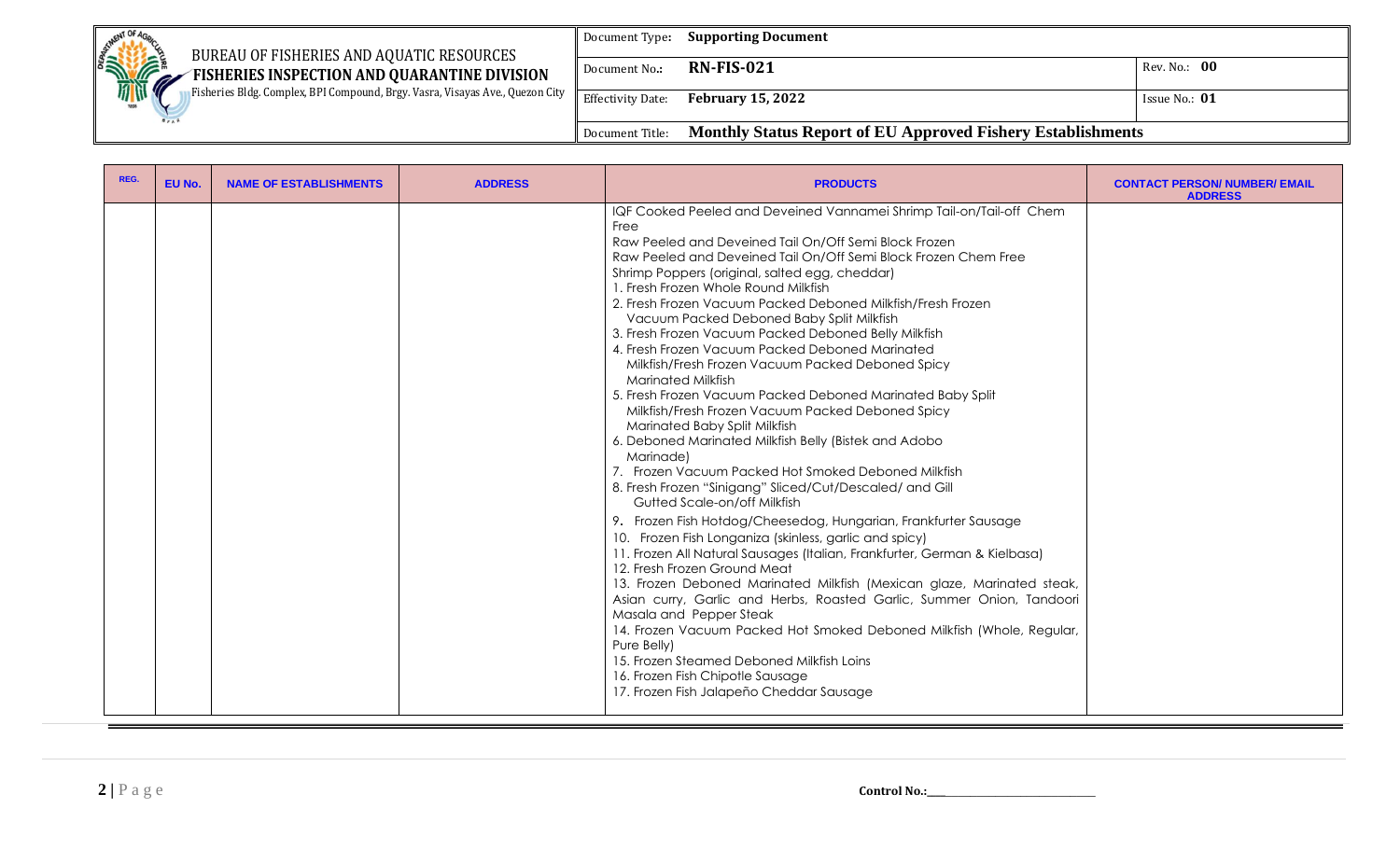| <b>SETMENT OF 4c</b><br>BUREAU OF FISHERIES AND AQUATIC RESOURCES             | Document Type:           | <b>Supporting Document</b>                                         |                 |
|-------------------------------------------------------------------------------|--------------------------|--------------------------------------------------------------------|-----------------|
| <b>SHOPPORT!</b><br>FISHERIES INSPECTION AND QUARANTINE DIVISION<br>. A       | Document No.:            | <b>RN-FIS-021</b>                                                  | Rev. No.: 00    |
| Fisheries Bldg. Complex, BPI Compound, Brgy. Vasra, Visayas Ave., Quezon City | <b>Effectivity Date:</b> | <b>February 15, 2022</b>                                           | Issue No.: $01$ |
|                                                                               | Document Title:          | <b>Monthly Status Report of EU Approved Fishery Establishments</b> |                 |

| REG. | EU No. | <b>NAME OF ESTABLISHMENTS</b> | <b>ADDRESS</b> | <b>PRODUCTS</b>                                                                                                                                                                                                                                                                                                                                                                                                                                                                                                                                                                                                                                                                                                                                                                                                                                                                                                                                                                                                                                                                                                                                                                                                                                                                                                                                                                                                                                                                                                                                                                                                                       | <b>CONTACT PERSON/ NUMBER/ EMAIL</b><br><b>ADDRESS</b> |
|------|--------|-------------------------------|----------------|---------------------------------------------------------------------------------------------------------------------------------------------------------------------------------------------------------------------------------------------------------------------------------------------------------------------------------------------------------------------------------------------------------------------------------------------------------------------------------------------------------------------------------------------------------------------------------------------------------------------------------------------------------------------------------------------------------------------------------------------------------------------------------------------------------------------------------------------------------------------------------------------------------------------------------------------------------------------------------------------------------------------------------------------------------------------------------------------------------------------------------------------------------------------------------------------------------------------------------------------------------------------------------------------------------------------------------------------------------------------------------------------------------------------------------------------------------------------------------------------------------------------------------------------------------------------------------------------------------------------------------------|--------------------------------------------------------|
|      |        |                               |                | IQF Cooked Peeled and Deveined Vannamei Shrimp Tail-on/Tail-off Chem<br>Free<br>Raw Peeled and Deveined Tail On/Off Semi Block Frozen<br>Raw Peeled and Deveined Tail On/Off Semi Block Frozen Chem Free<br>Shrimp Poppers (original, salted egg, cheddar)<br>1. Fresh Frozen Whole Round Milkfish<br>2. Fresh Frozen Vacuum Packed Deboned Milkfish/Fresh Frozen<br>Vacuum Packed Deboned Baby Split Milkfish<br>3. Fresh Frozen Vacuum Packed Deboned Belly Milkfish<br>4. Fresh Frozen Vacuum Packed Deboned Marinated<br>Milkfish/Fresh Frozen Vacuum Packed Deboned Spicy<br><b>Marinated Milkfish</b><br>5. Fresh Frozen Vacuum Packed Deboned Marinated Baby Split<br>Milkfish/Fresh Frozen Vacuum Packed Deboned Spicy<br>Marinated Baby Split Milkfish<br>6. Deboned Marinated Milkfish Belly (Bistek and Adobo<br>Marinade)<br>7. Frozen Vacuum Packed Hot Smoked Deboned Milkfish<br>8. Fresh Frozen "Sinigang" Sliced/Cut/Descaled/ and Gill<br>Gutted Scale-on/off Milkfish<br>9. Frozen Fish Hotdog/Cheesedog, Hungarian, Frankfurter Sausage<br>10. Frozen Fish Longaniza (skinless, garlic and spicy)<br>11. Frozen All Natural Sausages (Italian, Frankfurter, German & Kielbasa)<br>12. Fresh Frozen Ground Meat<br>13. Frozen Deboned Marinated Milkfish (Mexican glaze, Marinated steak,<br>Asian curry, Garlic and Herbs, Roasted Garlic, Summer Onion, Tandoori<br>Masala and Pepper Steak<br>14. Frozen Vacuum Packed Hot Smoked Deboned Milkfish (Whole, Regular,<br>Pure Belly)<br>15. Frozen Steamed Deboned Milkfish Loins<br>16. Frozen Fish Chipotle Sausage<br>17. Frozen Fish Jalapeño Cheddar Sausage |                                                        |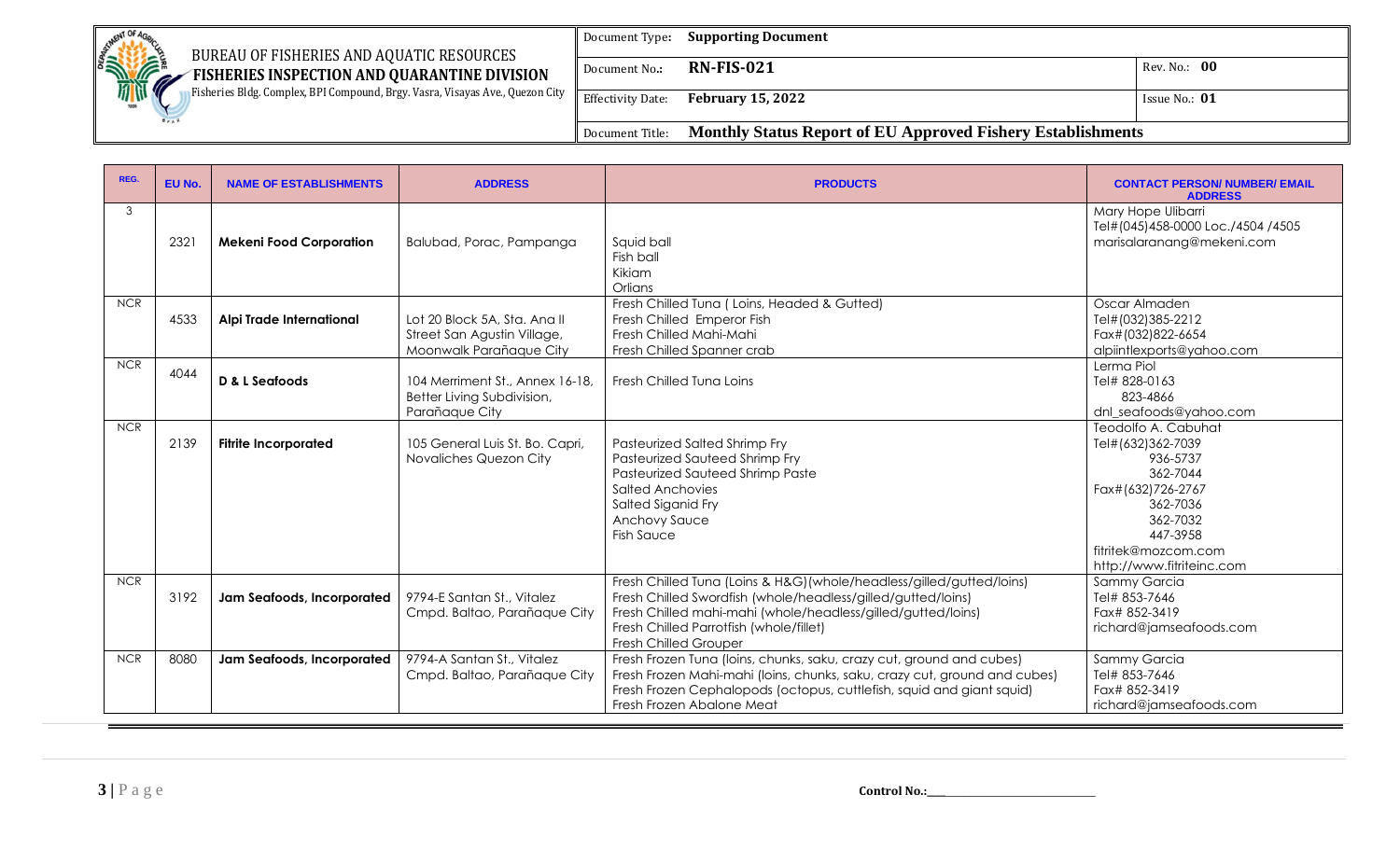| <b>BETWENT OF AC</b><br>BUREAU OF FISHERIES AND AQUATIC RESOURCES                 | Document Type:           | <b>Supporting Document</b>                                         |                 |
|-----------------------------------------------------------------------------------|--------------------------|--------------------------------------------------------------------|-----------------|
| <b>SHOPPORT!</b><br>FISHERIES INSPECTION AND QUARANTINE DIVISION<br>$\mathscr{M}$ | Document No.:            | <b>RN-FIS-021</b>                                                  | Rev. No.: 00    |
| Fisheries Bldg. Complex, BPI Compound, Brgy. Vasra, Visayas Ave., Quezon City     | <b>Effectivity Date:</b> | <b>February 15, 2022</b>                                           | Issue No.: $01$ |
|                                                                                   | Document Title:          | <b>Monthly Status Report of EU Approved Fishery Establishments</b> |                 |

| REG.       | EU No. | <b>NAME OF ESTABLISHMENTS</b>  | <b>ADDRESS</b>                                                                         | <b>PRODUCTS</b>                                                                                                                                                                                                                                                                  | <b>CONTACT PERSON/ NUMBER/ EMAIL</b><br><b>ADDRESS</b>                                                                                                                        |
|------------|--------|--------------------------------|----------------------------------------------------------------------------------------|----------------------------------------------------------------------------------------------------------------------------------------------------------------------------------------------------------------------------------------------------------------------------------|-------------------------------------------------------------------------------------------------------------------------------------------------------------------------------|
| 3          | 2321   | <b>Mekeni Food Corporation</b> | Balubad, Porac, Pampanga                                                               | Squid ball<br>Fish ball<br>Kikiam<br>Orlians                                                                                                                                                                                                                                     | Mary Hope Ulibarri<br>Tel#(045)458-0000 Loc./4504 /4505<br>marisalaranang@mekeni.com                                                                                          |
| <b>NCR</b> | 4533   | Alpi Trade International       | Lot 20 Block 5A, Sta. Ana II<br>Street San Agustin Village,<br>Moonwalk Parañaque City | Fresh Chilled Tuna (Loins, Headed & Gutted)<br>Fresh Chilled Emperor Fish<br>Fresh Chilled Mahi-Mahi<br>Fresh Chilled Spanner crab                                                                                                                                               | Oscar Almaden<br>Tel#(032)385-2212<br>Fax#(032)822-6654<br>alpiintlexports@yahoo.com                                                                                          |
| <b>NCR</b> | 4044   | D & L Seafoods                 | 104 Merriment St., Annex 16-18,<br>Better Living Subdivision,<br>Parañaque City        | Fresh Chilled Tuna Loins                                                                                                                                                                                                                                                         | Lerma Piol<br>Tel# 828-0163<br>823-4866<br>dnl_seafoods@yahoo.com                                                                                                             |
| <b>NCR</b> | 2139   | <b>Fitrite Incorporated</b>    | 105 General Luis St. Bo. Capri,<br>Novaliches Quezon City                              | Pasteurized Salted Shrimp Fry<br>Pasteurized Sauteed Shrimp Fry<br>Pasteurized Sauteed Shrimp Paste<br>Salted Anchovies<br>Salted Siganid Fry<br><b>Anchovy Sauce</b><br><b>Fish Sauce</b>                                                                                       | Teodolfo A. Cabuhat<br>Tel#(632)362-7039<br>936-5737<br>362-7044<br>Fax#(632)726-2767<br>362-7036<br>362-7032<br>447-3958<br>fitritek@mozcom.com<br>http://www.fitriteinc.com |
| <b>NCR</b> | 3192   | Jam Seafoods, Incorporated     | 9794-E Santan St., Vitalez<br>Cmpd. Baltao, Parañaque City                             | Fresh Chilled Tuna (Loins & H&G) (whole/headless/gilled/gutted/loins)<br>Fresh Chilled Swordfish (whole/headless/gilled/gutted/loins)<br>Fresh Chilled mahi-mahi (whole/headless/gilled/gutted/loins)<br>Fresh Chilled Parrotfish (whole/fillet)<br><b>Fresh Chilled Grouper</b> | Sammy Garcia<br>Tel# 853-7646<br>Fax# 852-3419<br>richard@jamseafoods.com                                                                                                     |
| <b>NCR</b> | 8080   | Jam Seafoods, Incorporated     | 9794-A Santan St., Vitalez<br>Cmpd. Baltao, Parañaque City                             | Fresh Frozen Tuna (loins, chunks, saku, crazy cut, ground and cubes)<br>Fresh Frozen Mahi-mahi (loins, chunks, saku, crazy cut, ground and cubes)<br>Fresh Frozen Cephalopods (octopus, cuttlefish, squid and giant squid)<br>Fresh Frozen Abalone Meat                          | Sammy Garcia<br>Tel# 853-7646<br>Fax# 852-3419<br>richard@jamseafoods.com                                                                                                     |

**3** | **P** a g e **control No.:\_\_\_\_\_\_\_\_\_\_\_\_\_\_\_\_\_\_\_\_\_\_\_**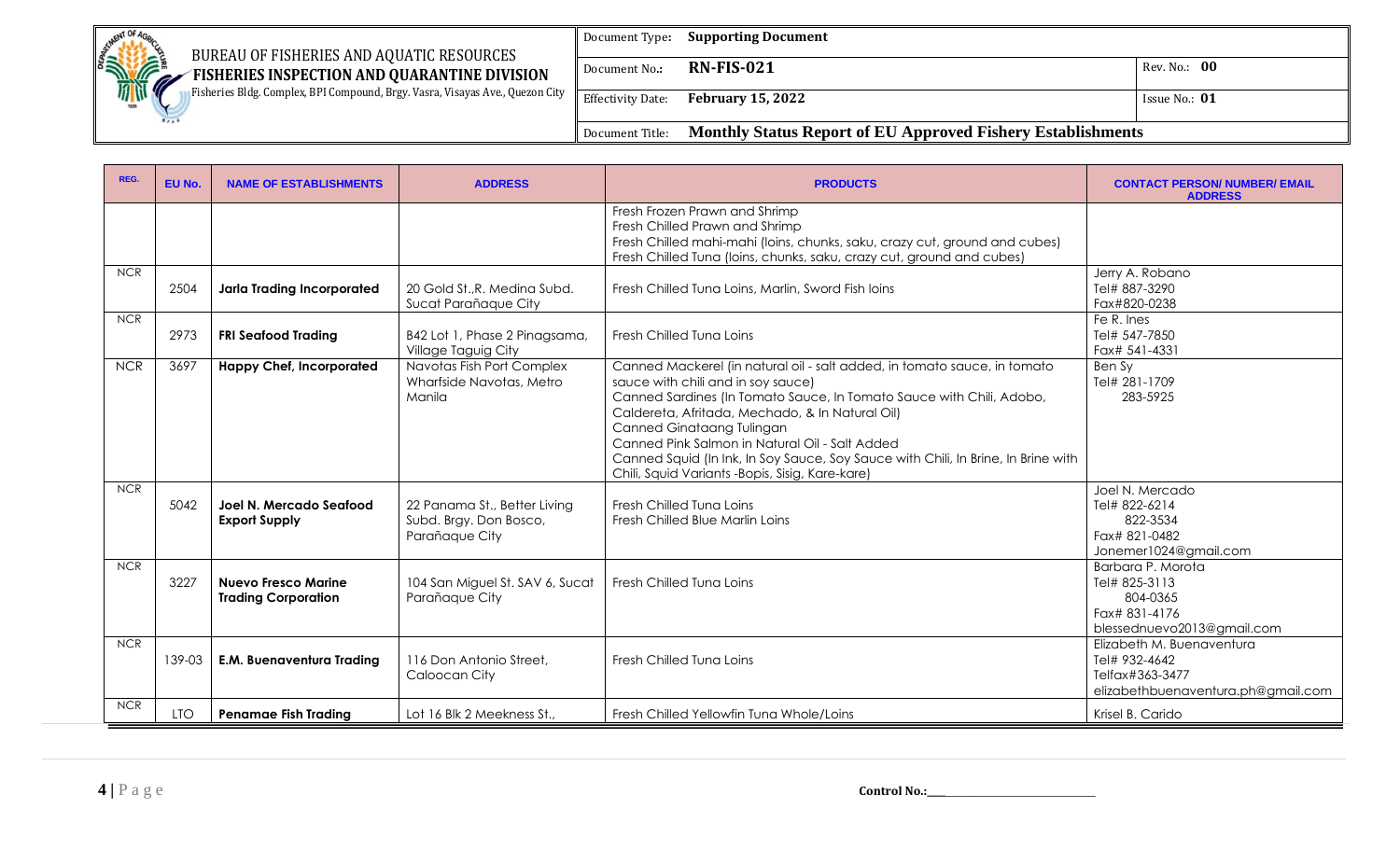|                                                                                                                                        | Document Type:           | <b>Supporting Document</b>                                         |                   |
|----------------------------------------------------------------------------------------------------------------------------------------|--------------------------|--------------------------------------------------------------------|-------------------|
| <b>CONTROL OF ACTION</b><br>BUREAU OF FISHERIES AND AQUATIC RESOURCES<br>FISHERIES INSPECTION AND QUARANTINE DIVISION<br>$\mathscr{M}$ | Document No.:            | <b>RN-FIS-021</b>                                                  | Rev. No.: 00      |
| <b>Fisheries Bldg. Complex, BPI Compound, Brgy. Vasra, Visayas Ave., Quezon City</b><br>189                                            | <b>Effectivity Date:</b> | <b>February 15, 2022</b>                                           | I Issue No.: $01$ |
|                                                                                                                                        | Document Title:          | <b>Monthly Status Report of EU Approved Fishery Establishments</b> |                   |

| REG.       | EU No.     | <b>NAME OF ESTABLISHMENTS</b>                            | <b>ADDRESS</b>                                                           | <b>PRODUCTS</b>                                                                                                                                                                                                                                                                                                                                                                                                                                                   | <b>CONTACT PERSON/ NUMBER/ EMAIL</b><br><b>ADDRESS</b>                                              |
|------------|------------|----------------------------------------------------------|--------------------------------------------------------------------------|-------------------------------------------------------------------------------------------------------------------------------------------------------------------------------------------------------------------------------------------------------------------------------------------------------------------------------------------------------------------------------------------------------------------------------------------------------------------|-----------------------------------------------------------------------------------------------------|
|            |            |                                                          |                                                                          | Fresh Frozen Prawn and Shrimp<br>Fresh Chilled Prawn and Shrimp<br>Fresh Chilled mahi-mahi (loins, chunks, saku, crazy cut, ground and cubes)<br>Fresh Chilled Tuna (Ioins, chunks, saku, crazy cut, ground and cubes)                                                                                                                                                                                                                                            |                                                                                                     |
| <b>NCR</b> | 2504       | <b>Jarla Trading Incorporated</b>                        | 20 Gold St., R. Medina Subd.<br>Sucat Parañaque City                     | Fresh Chilled Tuna Loins, Marlin, Sword Fish loins                                                                                                                                                                                                                                                                                                                                                                                                                | Jerry A. Robano<br>Tel# 887-3290<br>Fax#820-0238                                                    |
| <b>NCR</b> | 2973       | <b>FRI Seafood Trading</b>                               | B42 Lot 1, Phase 2 Pinagsama,<br>Village Taguig City                     | Fresh Chilled Tuna Loins                                                                                                                                                                                                                                                                                                                                                                                                                                          | Fe R. Ines<br>Tel# 547-7850<br>Fax# 541-4331                                                        |
| <b>NCR</b> | 3697       | <b>Happy Chef, Incorporated</b>                          | Navotas Fish Port Complex<br>Wharfside Navotas, Metro<br>Manila          | Canned Mackerel (in natural oil - salt added, in tomato sauce, in tomato<br>sauce with chili and in soy sauce)<br>Canned Sardines (In Tomato Sauce, In Tomato Sauce with Chili, Adobo,<br>Caldereta, Afritada, Mechado, & In Natural Oil)<br>Canned Ginataang Tulingan<br>Canned Pink Salmon in Natural Oil - Salt Added<br>Canned Squid (In Ink, In Soy Sauce, Soy Sauce with Chili, In Brine, In Brine with<br>Chili, Squid Variants - Bopis, Sisig, Kare-kare) | Ben Sy<br>Tel# 281-1709<br>283-5925                                                                 |
| <b>NCR</b> | 5042       | Joel N. Mercado Seafood<br><b>Export Supply</b>          | 22 Panama St., Better Living<br>Subd. Brgy. Don Bosco,<br>Parañaque City | Fresh Chilled Tuna Loins<br>Fresh Chilled Blue Marlin Loins                                                                                                                                                                                                                                                                                                                                                                                                       | Joel N. Mercado<br>Tel# 822-6214<br>822-3534<br>Fax# 821-0482<br>Jonemer1024@gmail.com              |
| <b>NCR</b> | 3227       | <b>Nuevo Fresco Marine</b><br><b>Trading Corporation</b> | 104 San Miguel St. SAV 6, Sucat<br>Parañaque City                        | Fresh Chilled Tuna Loins                                                                                                                                                                                                                                                                                                                                                                                                                                          | Barbara P. Morota<br>Tel# 825-3113<br>804-0365<br>Fax# 831-4176<br>blessednuevo2013@gmail.com       |
| <b>NCR</b> | 139-03     | <b>E.M. Buenaventura Trading</b>                         | 116 Don Antonio Street,<br>Caloocan City                                 | Fresh Chilled Tuna Loins                                                                                                                                                                                                                                                                                                                                                                                                                                          | Elizabeth M. Buenaventura<br>Tel# 932-4642<br>Telfax#363-3477<br>elizabethbuenaventura.ph@gmail.com |
| <b>NCR</b> | <b>LTO</b> | <b>Penamae Fish Trading</b>                              | Lot 16 Blk 2 Meekness St.,                                               | Fresh Chilled Yellowfin Tuna Whole/Loins                                                                                                                                                                                                                                                                                                                                                                                                                          | Krisel B. Carido                                                                                    |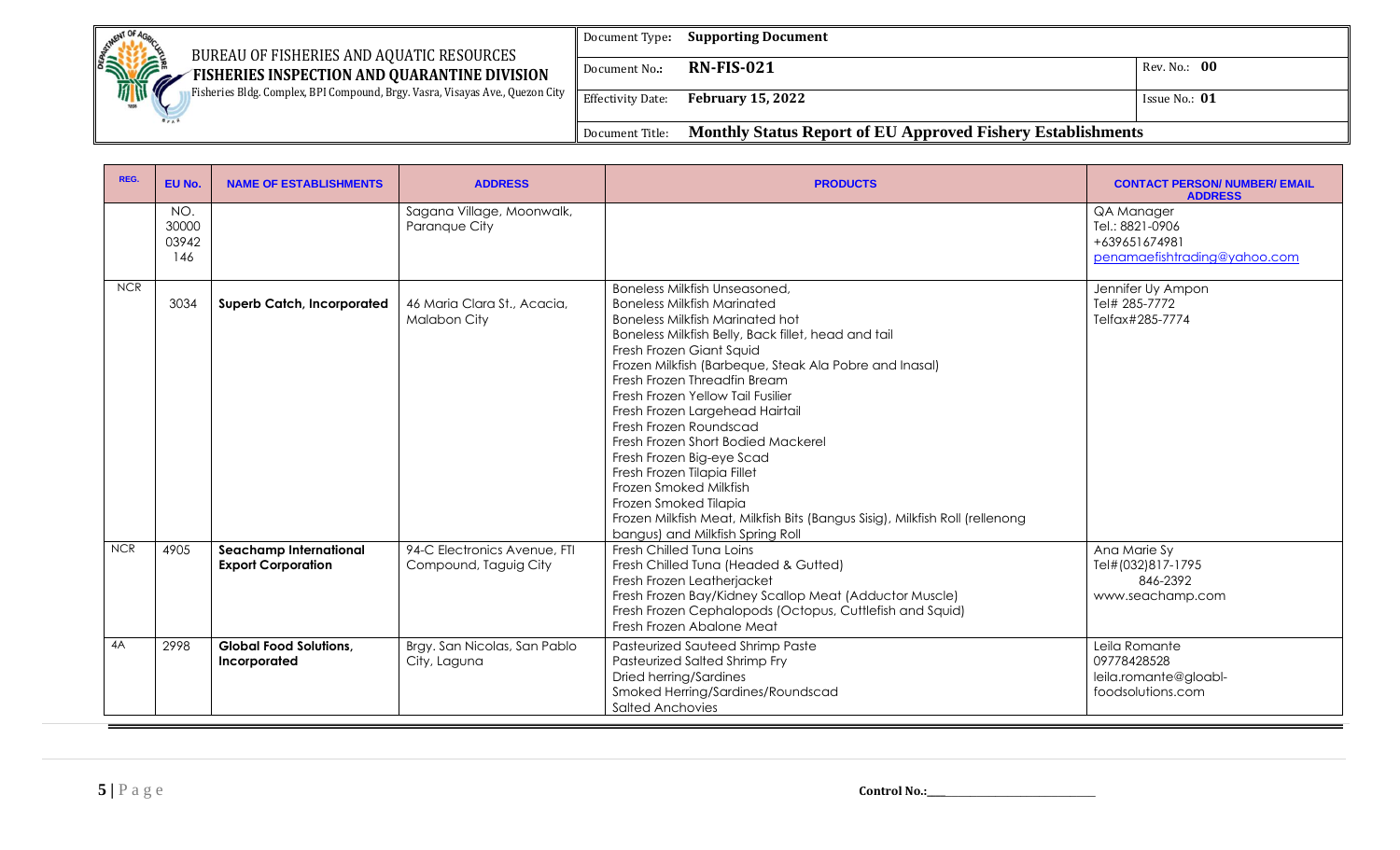| <b>BETWENT OF AC</b><br>BUREAU OF FISHERIES AND AQUATIC RESOURCES                 | Document Type:           | <b>Supporting Document</b>                                         |                 |
|-----------------------------------------------------------------------------------|--------------------------|--------------------------------------------------------------------|-----------------|
| <b>SHOPPORT!</b><br>FISHERIES INSPECTION AND QUARANTINE DIVISION<br>$\mathscr{M}$ | Document No.:            | <b>RN-FIS-021</b>                                                  | Rev. No.: 00    |
| Fisheries Bldg. Complex, BPI Compound, Brgy. Vasra, Visayas Ave., Quezon City     | <b>Effectivity Date:</b> | <b>February 15, 2022</b>                                           | Issue No.: $01$ |
|                                                                                   | Document Title:          | <b>Monthly Status Report of EU Approved Fishery Establishments</b> |                 |

| REG.       | EU No.                       | <b>NAME OF ESTABLISHMENTS</b>                              | <b>ADDRESS</b>                                        | <b>PRODUCTS</b>                                                                                                                                                                                                                                                                                                                                                                                                                                                                                                                                                                                                                                                              | <b>CONTACT PERSON/ NUMBER/ EMAIL</b><br><b>ADDRESS</b>                         |
|------------|------------------------------|------------------------------------------------------------|-------------------------------------------------------|------------------------------------------------------------------------------------------------------------------------------------------------------------------------------------------------------------------------------------------------------------------------------------------------------------------------------------------------------------------------------------------------------------------------------------------------------------------------------------------------------------------------------------------------------------------------------------------------------------------------------------------------------------------------------|--------------------------------------------------------------------------------|
|            | NO.<br>30000<br>03942<br>146 |                                                            | Sagana Village, Moonwalk,<br>Paranque City            |                                                                                                                                                                                                                                                                                                                                                                                                                                                                                                                                                                                                                                                                              | QA Manager<br>Tel.: 8821-0906<br>+639651674981<br>penamaefishtrading@yahoo.com |
| <b>NCR</b> | 3034                         | <b>Superb Catch, Incorporated</b>                          | 46 Maria Clara St., Acacia,<br>Malabon City           | <b>Boneless Milkfish Unseasoned,</b><br><b>Boneless Milkfish Marinated</b><br><b>Boneless Milkfish Marinated hot</b><br>Boneless Milkfish Belly, Back fillet, head and tail<br>Fresh Frozen Giant Squid<br>Frozen Milkfish (Barbeque, Steak Ala Pobre and Inasal)<br>Fresh Frozen Threadfin Bream<br>Fresh Frozen Yellow Tail Fusilier<br>Fresh Frozen Largehead Hairtail<br>Fresh Frozen Roundscad<br>Fresh Frozen Short Bodied Mackerel<br>Fresh Frozen Big-eye Scad<br>Fresh Frozen Tilapia Fillet<br>Frozen Smoked Milkfish<br>Frozen Smoked Tilapia<br>Frozen Milkfish Meat, Milkfish Bits (Bangus Sisig), Milkfish Roll (rellenong<br>bangus) and Milkfish Spring Roll | Jennifer Uy Ampon<br>Tel# 285-7772<br>Telfax#285-7774                          |
| <b>NCR</b> | 4905                         | <b>Seachamp International</b><br><b>Export Corporation</b> | 94-C Electronics Avenue, FTI<br>Compound, Taguig City | Fresh Chilled Tung Loins<br>Fresh Chilled Tuna (Headed & Gutted)<br>Fresh Frozen Leatherjacket<br>Fresh Frozen Bay/Kidney Scallop Meat (Adductor Muscle)<br>Fresh Frozen Cephalopods (Octopus, Cuttlefish and Squid)<br>Fresh Frozen Abalone Meat                                                                                                                                                                                                                                                                                                                                                                                                                            | Ana Marie Sy<br>Tel#(032)817-1795<br>846-2392<br>www.seachamp.com              |
| 4A         | 2998                         | <b>Global Food Solutions,</b><br>Incorporated              | Brgy. San Nicolas, San Pablo<br>City, Laguna          | <b>Pasteurized Sauteed Shrimp Paste</b><br>Pasteurized Salted Shrimp Fry<br>Dried herring/Sardines<br>Smoked Herring/Sardines/Roundscad<br><b>Salted Anchovies</b>                                                                                                                                                                                                                                                                                                                                                                                                                                                                                                           | Leila Romante<br>09778428528<br>leila.romante@gloabl-<br>foodsolutions.com     |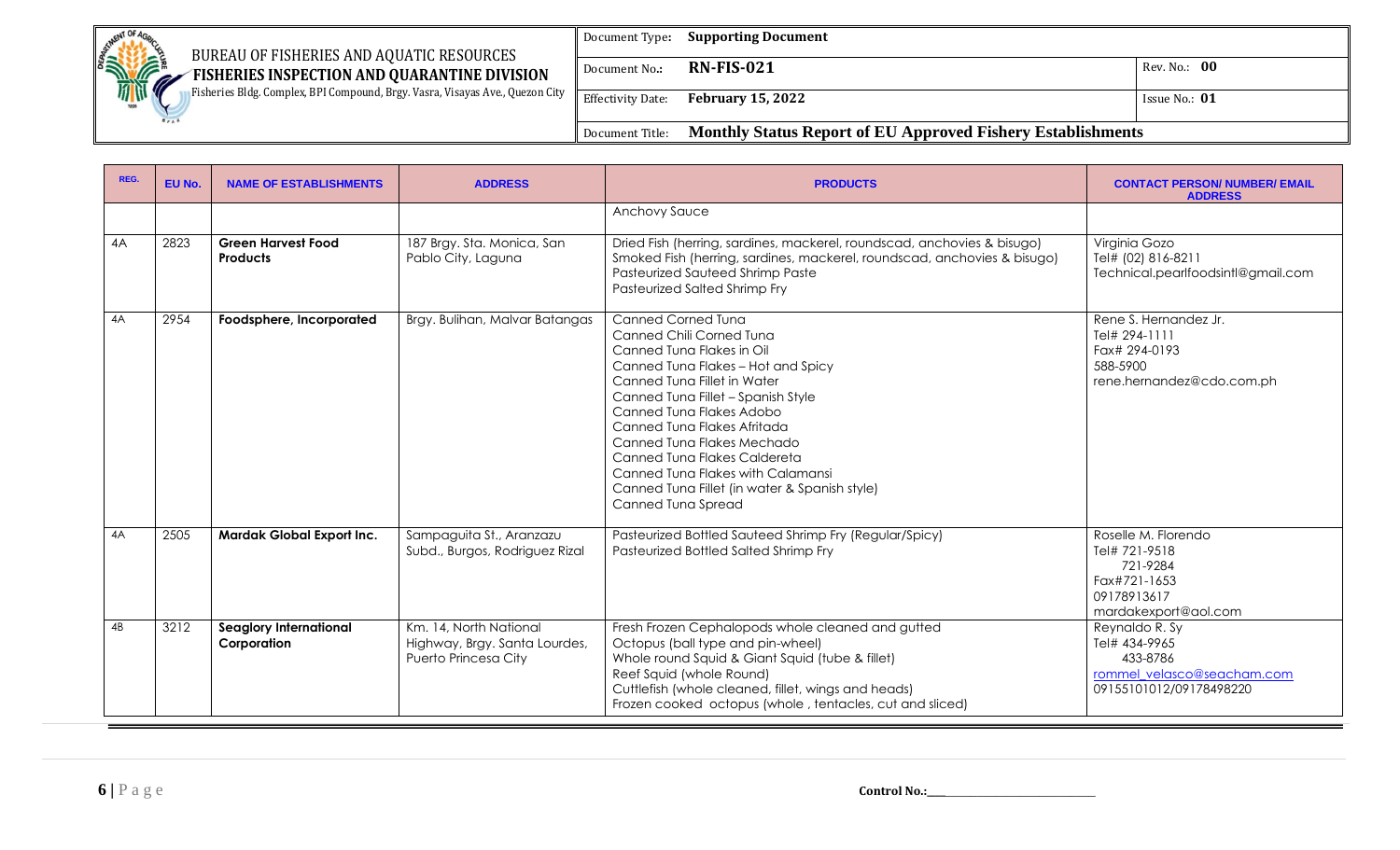| <b>Company of Britain City</b><br>BUREAU OF FISHERIES AND AQUATIC RESOURCES          | Document Type:           | <b>Supporting Document</b>                                         |                 |
|--------------------------------------------------------------------------------------|--------------------------|--------------------------------------------------------------------|-----------------|
| FISHERIES INSPECTION AND QUARANTINE DIVISION<br>. A                                  | Document No.:            | <b>RN-FIS-021</b>                                                  | Rev. No.: 00    |
| Fisheries Bldg. Complex, BPI Compound, Brgy. Vasra, Visayas Ave., Quezon City<br>189 | <b>Effectivity Date:</b> | <b>February 15, 2022</b>                                           | Issue No.: $01$ |
|                                                                                      | Document Title:          | <b>Monthly Status Report of EU Approved Fishery Establishments</b> |                 |

| REG. | EU No. | <b>NAME OF ESTABLISHMENTS</b>                | <b>ADDRESS</b>                                                                  | <b>PRODUCTS</b>                                                                                                                                                                                                                                                                                                                                                                                                                    | <b>CONTACT PERSON/ NUMBER/ EMAIL</b><br><b>ADDRESS</b>                                                  |
|------|--------|----------------------------------------------|---------------------------------------------------------------------------------|------------------------------------------------------------------------------------------------------------------------------------------------------------------------------------------------------------------------------------------------------------------------------------------------------------------------------------------------------------------------------------------------------------------------------------|---------------------------------------------------------------------------------------------------------|
|      |        |                                              |                                                                                 | <b>Anchovy Sauce</b>                                                                                                                                                                                                                                                                                                                                                                                                               |                                                                                                         |
| 4A   | 2823   | <b>Green Harvest Food</b><br><b>Products</b> | 187 Brgy. Sta. Monica, San<br>Pablo City, Laguna                                | Dried Fish (herring, sardines, mackerel, roundscad, anchovies & bisugo)<br>Smoked Fish (herring, sardines, mackerel, roundscad, anchovies & bisugo)<br><b>Pasteurized Sauteed Shrimp Paste</b><br>Pasteurized Salted Shrimp Fry                                                                                                                                                                                                    | Virginia Gozo<br>Tel# (02) 816-8211<br>Technical.pearlfoodsintl@gmail.com                               |
| 4A   | 2954   | Foodsphere, Incorporated                     | Brgy. Bulihan, Malvar Batangas                                                  | <b>Canned Corned Tung</b><br>Canned Chili Corned Tung<br>Canned Tuna Flakes in Oil<br>Canned Tuna Flakes - Hot and Spicy<br>Canned Tuna Fillet in Water<br>Canned Tuna Fillet - Spanish Style<br>Canned Tuna Flakes Adobo<br>Canned Tuna Flakes Afritada<br>Canned Tuna Flakes Mechado<br>Canned Tuna Flakes Caldereta<br>Canned Tuna Flakes with Calamansi<br>Canned Tuna Fillet (in water & Spanish style)<br>Canned Tuna Spread | Rene S. Hernandez Jr.<br>Tel# 294-1111<br>Fax# 294-0193<br>588-5900<br>rene.hernandez@cdo.com.ph        |
| 4A   | 2505   | Mardak Global Export Inc.                    | Sampaguita St., Aranzazu<br>Subd., Burgos, Rodriguez Rizal                      | Pasteurized Bottled Sauteed Shrimp Fry (Regular/Spicy)<br>Pasteurized Bottled Salted Shrimp Fry                                                                                                                                                                                                                                                                                                                                    | Roselle M. Florendo<br>Tel# 721-9518<br>721-9284<br>Fax#721-1653<br>09178913617<br>mardakexport@aol.com |
| 4B   | 3212   | <b>Seaglory International</b><br>Corporation | Km. 14, North National<br>Highway, Brgy. Santa Lourdes,<br>Puerto Princesa City | Fresh Frozen Cephalopods whole cleaned and gutted<br>Octopus (ball type and pin-wheel)<br>Whole round Squid & Giant Squid (tube & fillet)<br>Reef Squid (whole Round)<br>Cuttlefish (whole cleaned, fillet, wings and heads)<br>Frozen cooked octopus (whole, tentacles, cut and sliced)                                                                                                                                           | Reynaldo R. Sy<br>Tel# 434-9965<br>433-8786<br>rommel velasco@seacham.com<br>09155101012/09178498220    |

**6** | P a g e **control No.:\_\_\_\_\_\_\_\_\_\_\_\_\_\_\_\_\_\_\_\_\_\_\_\_**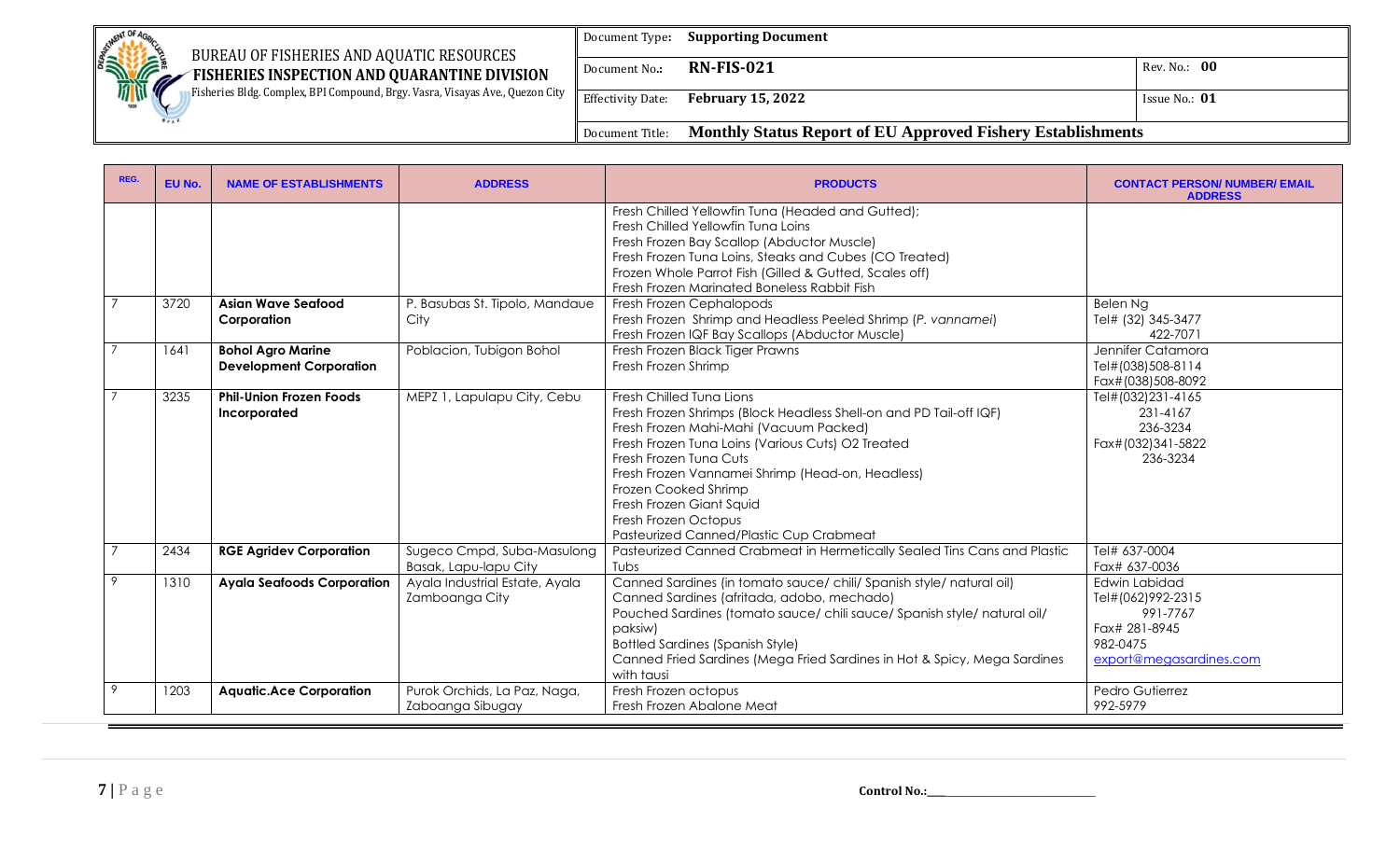| BUREAU OF FISHERIES AND AQUATIC RESOURCES                                                   | Document Type:           | <b>Supporting Document</b>                                         |                 |
|---------------------------------------------------------------------------------------------|--------------------------|--------------------------------------------------------------------|-----------------|
| <b>CONTROLLING CONTROL</b><br>FISHERIES INSPECTION AND QUARANTINE DIVISION<br>$\mathscr{M}$ | Document No.:            | <b>RN-FIS-021</b>                                                  | Rev. No.: 00    |
| Fisheries Bldg. Complex, BPI Compound, Brgy. Vasra, Visayas Ave., Quezon City<br>1898       | <b>Effectivity Date:</b> | <b>February 15, 2022</b>                                           | Issue No.: $01$ |
|                                                                                             | Document Title:          | <b>Monthly Status Report of EU Approved Fishery Establishments</b> |                 |

| REG.           | EU No. | <b>NAME OF ESTABLISHMENTS</b>                              | <b>ADDRESS</b>                                      | <b>PRODUCTS</b>                                                                                                                                                                                                                                                                                                                                                                                    | <b>CONTACT PERSON/ NUMBER/ EMAIL</b><br><b>ADDRESS</b>                                                 |
|----------------|--------|------------------------------------------------------------|-----------------------------------------------------|----------------------------------------------------------------------------------------------------------------------------------------------------------------------------------------------------------------------------------------------------------------------------------------------------------------------------------------------------------------------------------------------------|--------------------------------------------------------------------------------------------------------|
|                |        |                                                            |                                                     | Fresh Chilled Yellowfin Tuna (Headed and Gutted);<br>Fresh Chilled Yellowfin Tung Loins<br>Fresh Frozen Bay Scallop (Abductor Muscle)<br>Fresh Frozen Tuna Loins, Steaks and Cubes (CO Treated)<br>Frozen Whole Parrot Fish (Gilled & Gutted, Scales off)<br>Fresh Frozen Marinated Boneless Rabbit Fish                                                                                           |                                                                                                        |
| $\overline{7}$ | 3720   | <b>Asian Wave Seafood</b><br>Corporation                   | P. Basubas St. Tipolo, Mandaue<br>City              | Fresh Frozen Cephalopods<br>Fresh Frozen Shrimp and Headless Peeled Shrimp (P. vannamei)<br>Fresh Frozen IQF Bay Scallops (Abductor Muscle)                                                                                                                                                                                                                                                        | Belen Ng<br>Tel# (32) 345-3477<br>422-7071                                                             |
|                | 1641   | <b>Bohol Agro Marine</b><br><b>Development Corporation</b> | Poblacion, Tubigon Bohol                            | Fresh Frozen Black Tiger Prawns<br>Fresh Frozen Shrimp                                                                                                                                                                                                                                                                                                                                             | Jennifer Catamora<br>Tel#(038)508-8114<br>Fax#(038)508-8092                                            |
|                | 3235   | <b>Phil-Union Frozen Foods</b><br>Incorporated             | MEPZ 1, Lapulapu City, Cebu                         | Fresh Chilled Tung Lions<br>Fresh Frozen Shrimps (Block Headless Shell-on and PD Tail-off IQF)<br>Fresh Frozen Mahi-Mahi (Vacuum Packed)<br>Fresh Frozen Tuna Loins (Various Cuts) O2 Treated<br>Fresh Frozen Tuna Cuts<br>Fresh Frozen Vannamei Shrimp (Head-on, Headless)<br>Frozen Cooked Shrimp<br>Fresh Frozen Giant Squid<br>Fresh Frozen Octopus<br>Pasteurized Canned/Plastic Cup Crabmeat | Tel#(032)231-4165<br>231-4167<br>236-3234<br>Fax#(032)341-5822<br>236-3234                             |
| $\overline{7}$ | 2434   | <b>RGE Agridev Corporation</b>                             | Sugeco Cmpd, Suba-Masulong<br>Basak, Lapu-lapu City | Pasteurized Canned Crabmeat in Hermetically Sealed Tins Cans and Plastic<br>Tubs                                                                                                                                                                                                                                                                                                                   | Tel# 637-0004<br>Fax# 637-0036                                                                         |
| 9              | 1310   | <b>Ayala Seafoods Corporation</b>                          | Ayala Industrial Estate, Ayala<br>Zamboanga City    | Canned Sardines (in tomato sauce/ chili/ Spanish style/ natural oil)<br>Canned Sardines (afritada, adobo, mechado)<br>Pouched Sardines (tomato sauce/ chili sauce/ Spanish style/ natural oil/<br>paksiw)<br><b>Bottled Sardines (Spanish Style)</b><br>Canned Fried Sardines (Mega Fried Sardines in Hot & Spicy, Mega Sardines<br>with tausi                                                     | Edwin Labidad<br>Tel#(062)992-2315<br>991-7767<br>Fax# 281-8945<br>982-0475<br>export@megasardines.com |
| 9              | 1203   | <b>Aquatic.Ace Corporation</b>                             | Purok Orchids, La Paz, Naga,<br>Zaboanga Sibugay    | Fresh Frozen octopus<br>Fresh Frozen Abalone Meat                                                                                                                                                                                                                                                                                                                                                  | Pedro Gutierrez<br>992-5979                                                                            |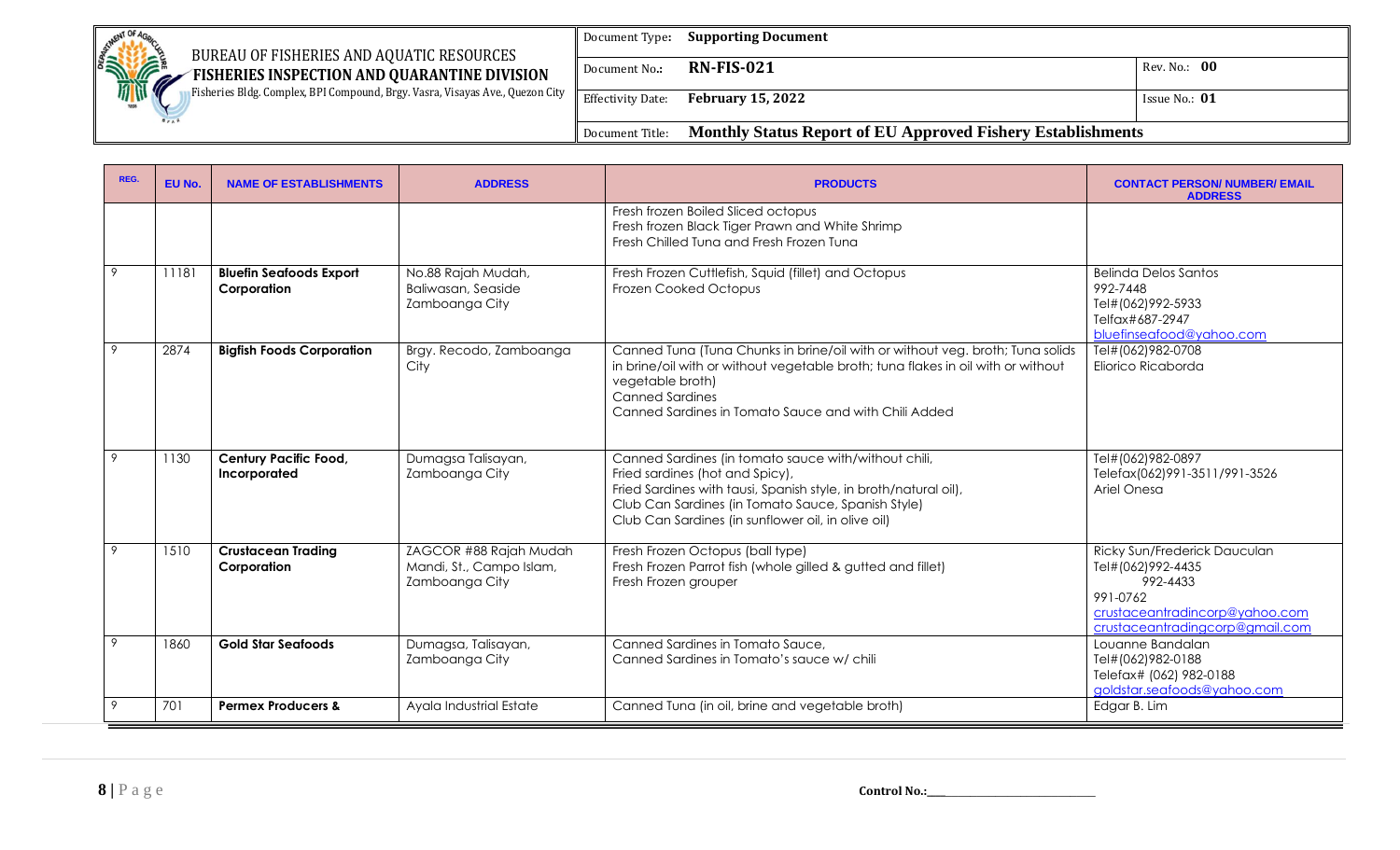| SETMENT OF 4r<br>BUREAU OF FISHERIES AND AQUATIC RESOURCES                                                        | Document Type:  | <b>Supporting Document</b>                                  |               |
|-------------------------------------------------------------------------------------------------------------------|-----------------|-------------------------------------------------------------|---------------|
| <b>SILVER AND ROAD</b><br>FISHERIES INSPECTION AND QUARANTINE DIVISION<br>$\mathscr{M}$                           | Document No.:   | <b>RN-FIS-021</b>                                           | Rev. No.: 00  |
| <b>In Fisheries Bldg. Complex, BPI Compound, Brgy. Vasra, Visayas Ave., Quezon City</b> Fifectivity Date:<br>1898 |                 | <b>February 15, 2022</b>                                    | Issue No.: 01 |
|                                                                                                                   | Document Title: | Monthly Status Report of EU Approved Fishery Establishments |               |

| REG. | EU No. | <b>NAME OF ESTABLISHMENTS</b>                 | <b>ADDRESS</b>                                                       | <b>PRODUCTS</b>                                                                                                                                                                                                                                                         | <b>CONTACT PERSON/ NUMBER/ EMAIL</b><br><b>ADDRESS</b>                                                                                         |
|------|--------|-----------------------------------------------|----------------------------------------------------------------------|-------------------------------------------------------------------------------------------------------------------------------------------------------------------------------------------------------------------------------------------------------------------------|------------------------------------------------------------------------------------------------------------------------------------------------|
|      |        |                                               |                                                                      | Fresh frozen Boiled Sliced octopus<br>Fresh frozen Black Tiger Prawn and White Shrimp<br>Fresh Chilled Tuna and Fresh Frozen Tuna                                                                                                                                       |                                                                                                                                                |
| 9    | 11181  | <b>Bluefin Seafoods Export</b><br>Corporation | No.88 Rajah Mudah,<br>Baliwasan, Seaside<br>Zamboanga City           | Fresh Frozen Cuttlefish, Squid (fillet) and Octopus<br>Frozen Cooked Octopus                                                                                                                                                                                            | Belinda Delos Santos<br>992-7448<br>Tel#(062)992-5933<br>Telfax#687-2947<br>bluefinseafood@yahoo.com                                           |
| 9    | 2874   | <b>Bigfish Foods Corporation</b>              | Brgy. Recodo, Zamboanga<br>City                                      | Canned Tuna (Tuna Chunks in brine/oil with or without veg. broth; Tuna solids<br>in brine/oil with or without vegetable broth; tuna flakes in oil with or without<br>vegetable broth)<br><b>Canned Sardines</b><br>Canned Sardines in Tomato Sauce and with Chili Added | Tel#(062)982-0708<br>Eliorico Ricaborda                                                                                                        |
|      | 1130   | <b>Century Pacific Food,</b><br>Incorporated  | Dumagsa Talisayan,<br>Zamboanga City                                 | Canned Sardines (in tomato sauce with/without chili,<br>Fried sardines (hot and Spicy),<br>Fried Sardines with tausi, Spanish style, in broth/natural oil),<br>Club Can Sardines (in Tomato Sauce, Spanish Style)<br>Club Can Sardines (in sunflower oil, in olive oil) | Tel#(062)982-0897<br>Telefax(062)991-3511/991-3526<br>Ariel Onesa                                                                              |
| 9    | 1510   | <b>Crustacean Trading</b><br>Corporation      | ZAGCOR #88 Rajah Mudah<br>Mandi, St., Campo Islam,<br>Zamboanga City | Fresh Frozen Octopus (ball type)<br>Fresh Frozen Parrot fish (whole gilled & gutted and fillet)<br>Fresh Frozen grouper                                                                                                                                                 | Ricky Sun/Frederick Dauculan<br>Tel#(062)992-4435<br>992-4433<br>991-0762<br>crustaceantradincorp@yahoo.com<br>crustaceantradingcorp@gmail.com |
| 9    | 1860   | <b>Gold Star Seafoods</b>                     | Dumagsa, Talisayan,<br>Zamboanga City                                | Canned Sardines in Tomato Sauce,<br>Canned Sardines in Tomato's sauce w/ chili                                                                                                                                                                                          | Louanne Bandalan<br>Tel#(062)982-0188<br>Telefax# (062) 982-0188<br>goldstar.seafoods@yahoo.com                                                |
|      | 701    | <b>Permex Producers &amp;</b>                 | Ayala Industrial Estate                                              | Canned Tuna (in oil, brine and vegetable broth)                                                                                                                                                                                                                         | Edgar B. Lim                                                                                                                                   |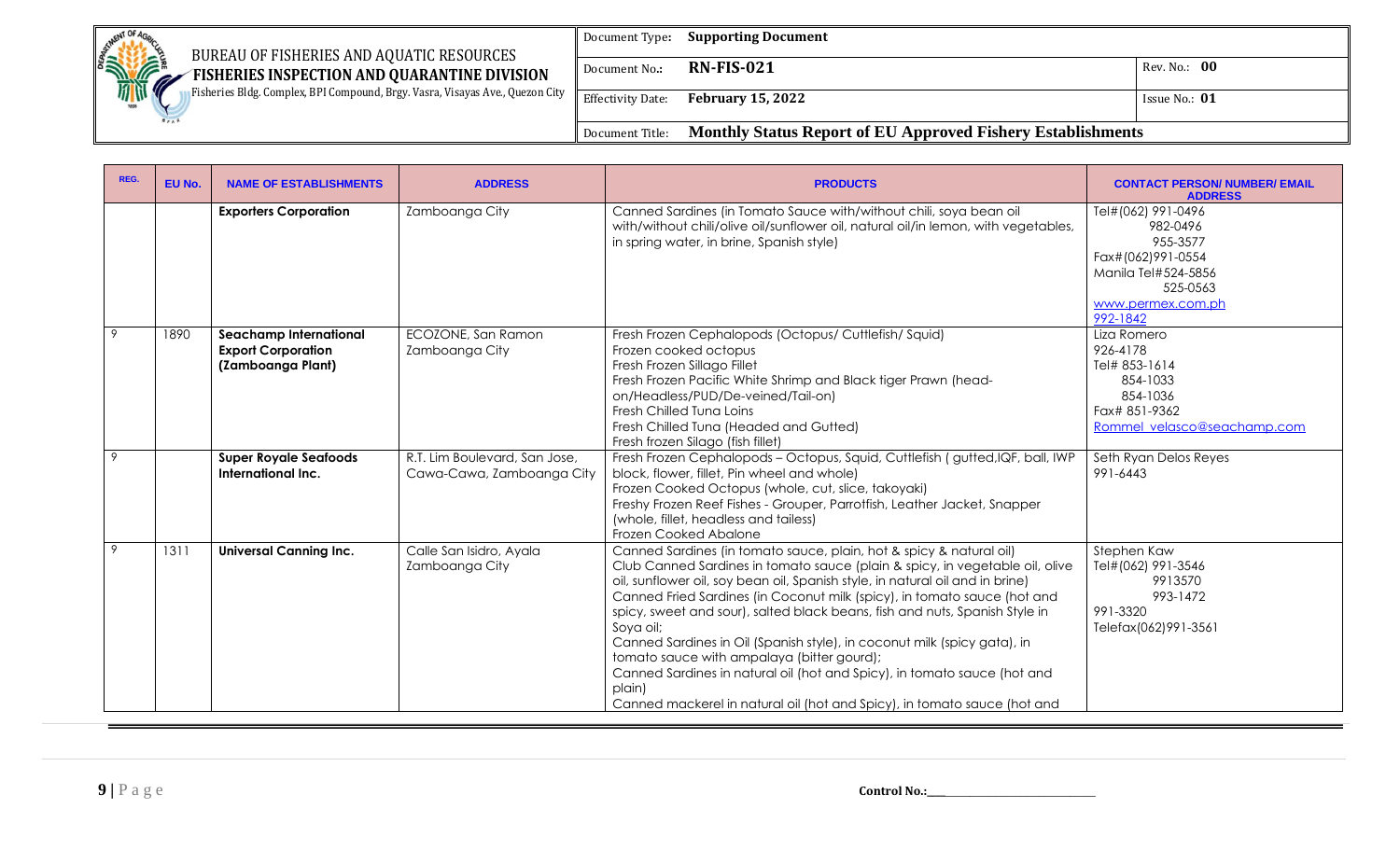| BUREAU OF FISHERIES AND AQUATIC RESOURCES                                                   | Document Type:           | <b>Supporting Document</b>                                         |                 |
|---------------------------------------------------------------------------------------------|--------------------------|--------------------------------------------------------------------|-----------------|
| <b>CONTROL OF ACTION</b><br>FISHERIES INSPECTION AND QUARANTINE DIVISION<br>$\sqrt{a}$      | Document No.:            | <b>RN-FIS-021</b>                                                  | Rev. No.: 00    |
| <b>Fisheries Bldg. Complex, BPI Compound, Brgy. Vasra, Visayas Ave., Quezon City</b><br>189 | <b>Effectivity Date:</b> | <b>February 15, 2022</b>                                           | Issue No.: $01$ |
|                                                                                             | Document Title:          | <b>Monthly Status Report of EU Approved Fishery Establishments</b> |                 |

| REG. | EU No. | <b>NAME OF ESTABLISHMENTS</b>                                                   | <b>ADDRESS</b>                                             | <b>PRODUCTS</b>                                                                                                                                                                                                                                                                                                                                                                                                                                                                                                                                                                                                                                                                                          | <b>CONTACT PERSON/ NUMBER/ EMAIL</b><br><b>ADDRESS</b>                                                                              |
|------|--------|---------------------------------------------------------------------------------|------------------------------------------------------------|----------------------------------------------------------------------------------------------------------------------------------------------------------------------------------------------------------------------------------------------------------------------------------------------------------------------------------------------------------------------------------------------------------------------------------------------------------------------------------------------------------------------------------------------------------------------------------------------------------------------------------------------------------------------------------------------------------|-------------------------------------------------------------------------------------------------------------------------------------|
|      |        | <b>Exporters Corporation</b>                                                    | Zamboanga City                                             | Canned Sardines (in Tomato Sauce with/without chili, soya bean oil<br>with/without chili/olive oil/sunflower oil, natural oil/in lemon, with vegetables,<br>in spring water, in brine, Spanish style)                                                                                                                                                                                                                                                                                                                                                                                                                                                                                                    | Tel#(062) 991-0496<br>982-0496<br>955-3577<br>Fax#(062)991-0554<br>Manila Tel#524-5856<br>525-0563<br>www.permex.com.ph<br>992-1842 |
| 9    | 1890   | <b>Seachamp International</b><br><b>Export Corporation</b><br>(Zamboanga Plant) | ECOZONE, San Ramon<br>Zamboanga City                       | Fresh Frozen Cephalopods (Octopus/ Cuttlefish/ Squid)<br>Frozen cooked octopus<br>Fresh Frozen Sillago Fillet<br>Fresh Frozen Pacific White Shrimp and Black tiger Prawn (head-<br>on/Headless/PUD/De-veined/Tail-on)<br>Fresh Chilled Tung Loins<br>Fresh Chilled Tuna (Headed and Gutted)<br>Fresh frozen Silago (fish fillet)                                                                                                                                                                                                                                                                                                                                                                         | Liza Romero<br>926-4178<br>Tel# 853-1614<br>854-1033<br>854-1036<br>Fax# 851-9362<br>Rommel velasco@seachamp.com                    |
| 9    |        | <b>Super Royale Seafoods</b><br>International Inc.                              | R.T. Lim Boulevard, San Jose,<br>Cawa-Cawa, Zamboanga City | Fresh Frozen Cephalopods - Octopus, Squid, Cuttlefish (gutted, IQF, ball, IWP<br>block, flower, fillet, Pin wheel and whole)<br>Frozen Cooked Octopus (whole, cut, slice, takoyaki)<br>Freshy Frozen Reef Fishes - Grouper, Parrotfish, Leather Jacket, Snapper<br>(whole, fillet, headless and tailess)<br><b>Frozen Cooked Abalone</b>                                                                                                                                                                                                                                                                                                                                                                 | Seth Ryan Delos Reyes<br>991-6443                                                                                                   |
| 9    | 1311   | <b>Universal Canning Inc.</b>                                                   | Calle San Isidro, Ayala<br>Zamboanga City                  | Canned Sardines (in tomato sauce, plain, hot & spicy & natural oil)<br>Club Canned Sardines in tomato sauce (plain & spicy, in vegetable oil, olive<br>oil, sunflower oil, soy bean oil, Spanish style, in natural oil and in brine)<br>Canned Fried Sardines (in Coconut milk (spicy), in tomato sauce (hot and<br>spicy, sweet and sour), salted black beans, fish and nuts, Spanish Style in<br>Soya oil;<br>Canned Sardines in Oil (Spanish style), in coconut milk (spicy gata), in<br>tomato sauce with ampalaya (bitter gourd);<br>Canned Sardines in natural oil (hot and Spicy), in tomato sauce (hot and<br>plain)<br>Canned mackerel in natural oil (hot and Spicy), in tomato sauce (hot and | Stephen Kaw<br>Tel#(062) 991-3546<br>9913570<br>993-1472<br>991-3320<br>Telefax(062)991-3561                                        |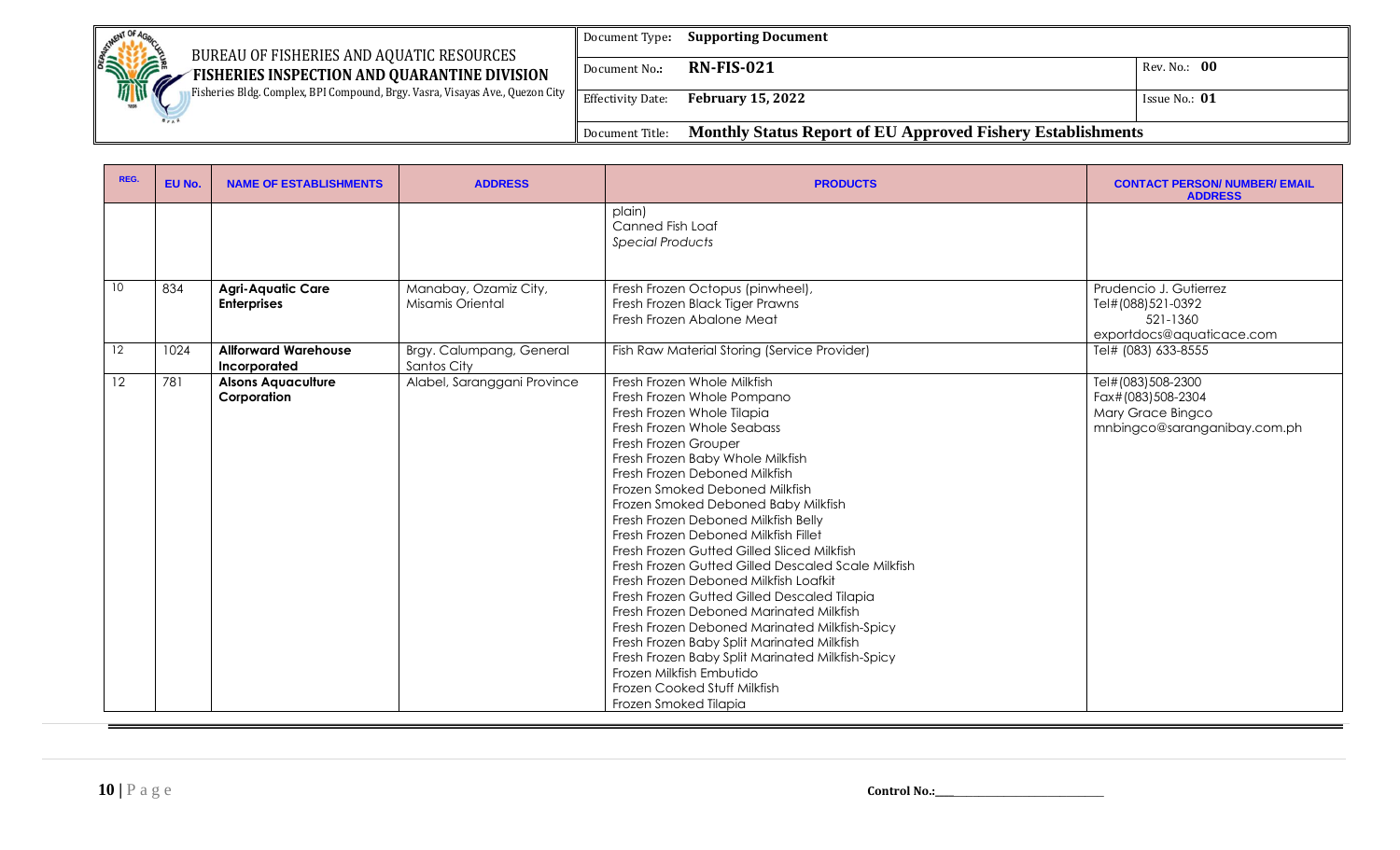| BUREAU OF FISHERIES AND AQUATIC RESOURCES                                                   | Document Type:           | <b>Supporting Document</b>                                         |                 |
|---------------------------------------------------------------------------------------------|--------------------------|--------------------------------------------------------------------|-----------------|
| <b>CONTROLLING CONTROL</b><br>FISHERIES INSPECTION AND QUARANTINE DIVISION<br>$\mathscr{M}$ | Document No.:            | <b>RN-FIS-021</b>                                                  | Rev. No.: 00    |
| Fisheries Bldg. Complex, BPI Compound, Brgy. Vasra, Visayas Ave., Quezon City<br>1898       | <b>Effectivity Date:</b> | <b>February 15, 2022</b>                                           | Issue No.: $01$ |
|                                                                                             | Document Title:          | <b>Monthly Status Report of EU Approved Fishery Establishments</b> |                 |

| REG.            | EU No. | <b>NAME OF ESTABLISHMENTS</b>                  | <b>ADDRESS</b>                            | <b>PRODUCTS</b>                                                                                                                                                                                                                                                                                                                                                                                                                                                                                                                                                                                                                                                                                                                                                                                                                                           | <b>CONTACT PERSON/ NUMBER/ EMAIL</b><br><b>ADDRESS</b>                                      |
|-----------------|--------|------------------------------------------------|-------------------------------------------|-----------------------------------------------------------------------------------------------------------------------------------------------------------------------------------------------------------------------------------------------------------------------------------------------------------------------------------------------------------------------------------------------------------------------------------------------------------------------------------------------------------------------------------------------------------------------------------------------------------------------------------------------------------------------------------------------------------------------------------------------------------------------------------------------------------------------------------------------------------|---------------------------------------------------------------------------------------------|
|                 |        |                                                |                                           | plain)<br>Canned Fish Loaf<br><b>Special Products</b>                                                                                                                                                                                                                                                                                                                                                                                                                                                                                                                                                                                                                                                                                                                                                                                                     |                                                                                             |
| 10 <sup>°</sup> | 834    | <b>Agri-Aquatic Care</b><br><b>Enterprises</b> | Manabay, Ozamiz City,<br>Misamis Oriental | Fresh Frozen Octopus (pinwheel),<br>Fresh Frozen Black Tiger Prawns<br>Fresh Frozen Abalone Meat                                                                                                                                                                                                                                                                                                                                                                                                                                                                                                                                                                                                                                                                                                                                                          | Prudencio J. Gutierrez<br>Tel#(088)521-0392<br>521-1360<br>exportdocs@aquaticace.com        |
| 12              | 1024   | <b>Allforward Warehouse</b><br>Incorporated    | Brgy. Calumpang, General<br>Santos City   | Fish Raw Material Storing (Service Provider)                                                                                                                                                                                                                                                                                                                                                                                                                                                                                                                                                                                                                                                                                                                                                                                                              | Tel# (083) 633-8555                                                                         |
| 12              | 781    | <b>Alsons Aquaculture</b><br>Corporation       | Alabel, Saranggani Province               | Fresh Frozen Whole Milkfish<br>Fresh Frozen Whole Pompano<br>Fresh Frozen Whole Tilapia<br>Fresh Frozen Whole Seabass<br>Fresh Frozen Grouper<br>Fresh Frozen Baby Whole Milkfish<br>Fresh Frozen Deboned Milkfish<br>Frozen Smoked Deboned Milkfish<br>Frozen Smoked Deboned Baby Milkfish<br>Fresh Frozen Deboned Milkfish Belly<br>Fresh Frozen Deboned Milkfish Fillet<br>Fresh Frozen Gutted Gilled Sliced Milkfish<br>Fresh Frozen Gutted Gilled Descaled Scale Milkfish<br>Fresh Frozen Deboned Milkfish Loafkit<br>Fresh Frozen Gutted Gilled Descaled Tilapia<br>Fresh Frozen Deboned Marinated Milkfish<br>Fresh Frozen Deboned Marinated Milkfish-Spicy<br>Fresh Frozen Baby Split Marinated Milkfish<br>Fresh Frozen Baby Split Marinated Milkfish-Spicy<br>Frozen Milkfish Embutido<br>Frozen Cooked Stuff Milkfish<br>Frozen Smoked Tilapia | Tel#(083)508-2300<br>Fax#(083)508-2304<br>Mary Grace Bingco<br>mnbingco@saranganibay.com.ph |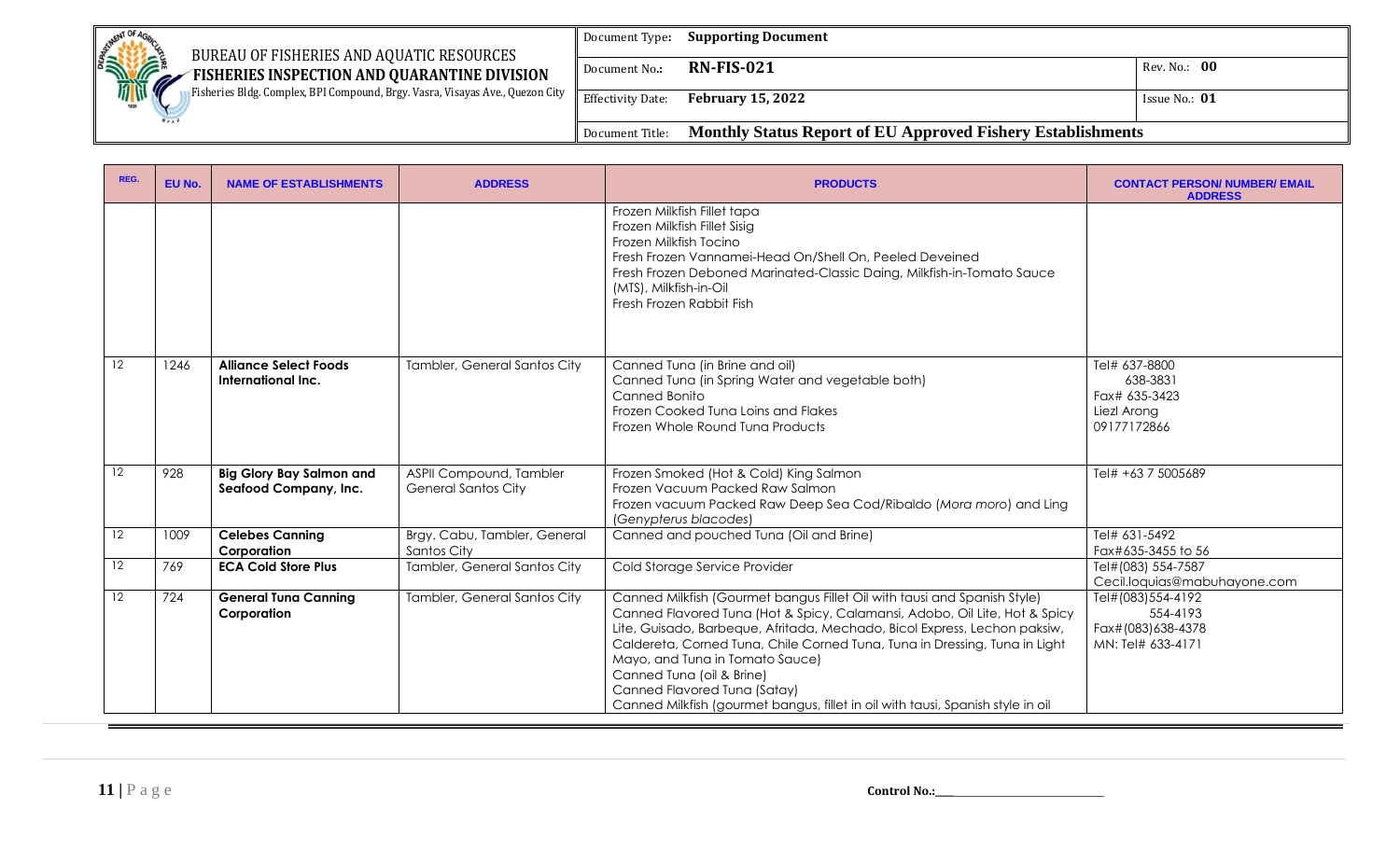| <b>SETMENT OF 4r</b><br>BUREAU OF FISHERIES AND AQUATIC RESOURCES                           | Document Type:           | <b>Supporting Document</b>                                  |                 |
|---------------------------------------------------------------------------------------------|--------------------------|-------------------------------------------------------------|-----------------|
| <b>SHIPPING</b><br>FISHERIES INSPECTION AND QUARANTINE DIVISION<br>$\mathscr{M}$            | Document No.:            | <b>RN-FIS-021</b>                                           | Rev. No.: 00    |
| <b>Fisheries Bldg. Complex, BPI Compound, Brgy. Vasra, Visayas Ave., Quezon City</b><br>189 | <b>Effectivity Date:</b> | <b>February 15, 2022</b>                                    | Issue No.: $01$ |
|                                                                                             | Document Title:          | Monthly Status Report of EU Approved Fishery Establishments |                 |

| REG.              | EU No. | <b>NAME OF ESTABLISHMENTS</b>                            | <b>ADDRESS</b>                                        | <b>PRODUCTS</b>                                                                                                                                                                                                                                                                                                                                                                                                                                                                                      | <b>CONTACT PERSON/ NUMBER/ EMAIL</b><br><b>ADDRESS</b>                   |
|-------------------|--------|----------------------------------------------------------|-------------------------------------------------------|------------------------------------------------------------------------------------------------------------------------------------------------------------------------------------------------------------------------------------------------------------------------------------------------------------------------------------------------------------------------------------------------------------------------------------------------------------------------------------------------------|--------------------------------------------------------------------------|
|                   |        |                                                          |                                                       | Frozen Milkfish Fillet tapa<br>Frozen Milkfish Fillet Sisig<br>Frozen Milkfish Tocino<br>Fresh Frozen Vannamei-Head On/Shell On, Peeled Deveined<br>Fresh Frozen Deboned Marinated-Classic Daing, Milkfish-in-Tomato Sauce<br>(MTS), Milkfish-in-Oil<br>Fresh Frozen Rabbit Fish                                                                                                                                                                                                                     |                                                                          |
| $12 \overline{ }$ | 1246   | <b>Alliance Select Foods</b><br>International Inc.       | Tambler, General Santos City                          | Canned Tuna (in Brine and oil)<br>Canned Tuna (in Spring Water and vegetable both)<br>Canned Bonito<br>Frozen Cooked Tuna Loins and Flakes<br>Frozen Whole Round Tuna Products                                                                                                                                                                                                                                                                                                                       | Tel# 637-8800<br>638-3831<br>Fax# 635-3423<br>Liezl Arong<br>09177172866 |
| 12                | 928    | <b>Big Glory Bay Salmon and</b><br>Seafood Company, Inc. | ASPII Compound, Tambler<br><b>General Santos City</b> | Frozen Smoked (Hot & Cold) King Salmon<br>Frozen Vacuum Packed Raw Salmon<br>Frozen vacuum Packed Raw Deep Sea Cod/Ribaldo (Mora moro) and Ling<br>(Genypterus blacodes)                                                                                                                                                                                                                                                                                                                             | Tel# +63 7 5005689                                                       |
| 12                | 1009   | <b>Celebes Canning</b><br>Corporation                    | Brgy. Cabu, Tambler, General<br>Santos City           | Canned and pouched Tuna (Oil and Brine)                                                                                                                                                                                                                                                                                                                                                                                                                                                              | Tel# 631-5492<br>Fax#635-3455 to 56                                      |
| 12                | 769    | <b>ECA Cold Store Plus</b>                               | Tambler, General Santos City                          | Cold Storage Service Provider                                                                                                                                                                                                                                                                                                                                                                                                                                                                        | Tel#(083) 554-7587<br>Cecil.loquias@mabuhayone.com                       |
| 12                | 724    | <b>General Tuna Canning</b><br>Corporation               | Tambler, General Santos City                          | Canned Milkfish (Gourmet bangus Fillet Oil with tausi and Spanish Style)<br>Canned Flavored Tuna (Hot & Spicy, Calamansi, Adobo, Oil Lite, Hot & Spicy<br>Lite, Guisado, Barbeque, Afritada, Mechado, Bicol Express, Lechon paksiw,<br>Caldereta, Corned Tuna, Chile Corned Tuna, Tuna in Dressing, Tuna in Light<br>Mayo, and Tuna in Tomato Sauce)<br>Canned Tuna (oil & Brine)<br>Canned Flavored Tuna (Satay)<br>Canned Milkfish (gourmet bangus, fillet in oil with tausi, Spanish style in oil | Tel#(083)554-4192<br>554-4193<br>Fax#(083)638-4378<br>MN: Tel# 633-4171  |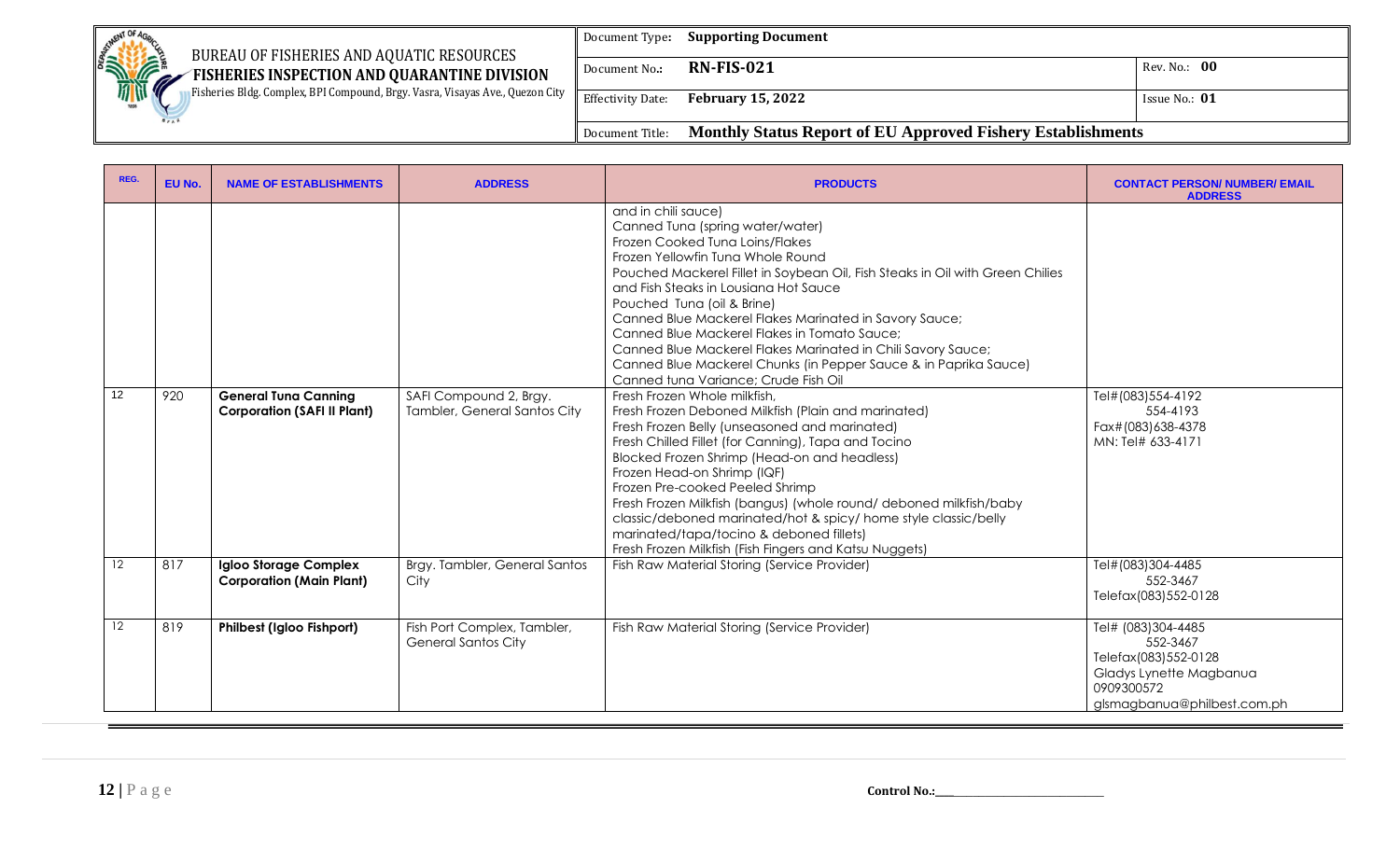|                                                                                                                                          | Document Type:           | <b>Supporting Document</b>                                         |                 |
|------------------------------------------------------------------------------------------------------------------------------------------|--------------------------|--------------------------------------------------------------------|-----------------|
| <b>CONTROLLING CONTROL</b><br>BUREAU OF FISHERIES AND AQUATIC RESOURCES<br>FISHERIES INSPECTION AND QUARANTINE DIVISION<br>$\mathscr{M}$ | Document No.:            | <b>RN-FIS-021</b>                                                  | Rev. No.: 00    |
| Fisheries Bldg. Complex, BPI Compound, Brgy. Vasra, Visayas Ave., Quezon City  <br>189                                                   | <b>Effectivity Date:</b> | <b>February 15, 2022</b>                                           | Issue No.: $01$ |
|                                                                                                                                          | Document Title:          | <b>Monthly Status Report of EU Approved Fishery Establishments</b> |                 |

| REG.              | EU No. | <b>NAME OF ESTABLISHMENTS</b>                                     | <b>ADDRESS</b>                                            | <b>PRODUCTS</b>                                                                                                                                                                                                                                                                                                                                                                                                                                                                                                                                                                                                                                                                                                                                                                                                                                                                                                                                                                                                                                                                     | <b>CONTACT PERSON/ NUMBER/ EMAIL</b><br><b>ADDRESS</b>                                                                         |
|-------------------|--------|-------------------------------------------------------------------|-----------------------------------------------------------|-------------------------------------------------------------------------------------------------------------------------------------------------------------------------------------------------------------------------------------------------------------------------------------------------------------------------------------------------------------------------------------------------------------------------------------------------------------------------------------------------------------------------------------------------------------------------------------------------------------------------------------------------------------------------------------------------------------------------------------------------------------------------------------------------------------------------------------------------------------------------------------------------------------------------------------------------------------------------------------------------------------------------------------------------------------------------------------|--------------------------------------------------------------------------------------------------------------------------------|
| 12                | 920    | <b>General Tuna Canning</b><br><b>Corporation (SAFI II Plant)</b> | SAFI Compound 2, Brgy.<br>Tambler, General Santos City    | and in chili sauce)<br>Canned Tuna (spring water/water)<br>Frozen Cooked Tuna Loins/Flakes<br>Frozen Yellowfin Tuna Whole Round<br>Pouched Mackerel Fillet in Soybean Oil, Fish Steaks in Oil with Green Chilies<br>and Fish Steaks in Lousiana Hot Sauce<br>Pouched Tuna (oil & Brine)<br>Canned Blue Mackerel Flakes Marinated in Savory Sauce;<br>Canned Blue Mackerel Flakes in Tomato Sauce;<br>Canned Blue Mackerel Flakes Marinated in Chili Savory Sauce;<br>Canned Blue Mackerel Chunks (in Pepper Sauce & in Paprika Sauce)<br>Canned tuna Variance; Crude Fish Oil<br>Fresh Frozen Whole milkfish,<br>Fresh Frozen Deboned Milkfish (Plain and marinated)<br>Fresh Frozen Belly (unseasoned and marinated)<br>Fresh Chilled Fillet (for Canning), Tapa and Tocino<br>Blocked Frozen Shrimp (Head-on and headless)<br>Frozen Head-on Shrimp (IQF)<br>Frozen Pre-cooked Peeled Shrimp<br>Fresh Frozen Milkfish (bangus) (whole round/ deboned milkfish/baby<br>classic/deboned marinated/hot & spicy/ home style classic/belly<br>marinated/tapa/tocino & deboned fillets) | Tel#(083)554-4192<br>554-4193<br>Fax#(083)638-4378<br>MN: Tel# 633-4171                                                        |
| $12 \overline{ }$ | 817    | Igloo Storage Complex<br><b>Corporation (Main Plant)</b>          | Brgy. Tambler, General Santos<br>City                     | Fresh Frozen Milkfish (Fish Fingers and Katsu Nuggets)<br>Fish Raw Material Storing (Service Provider)                                                                                                                                                                                                                                                                                                                                                                                                                                                                                                                                                                                                                                                                                                                                                                                                                                                                                                                                                                              | Tel#(083)304-4485<br>552-3467<br>Telefax(083)552-0128                                                                          |
| 12                | 819    | <b>Philbest (Igloo Fishport)</b>                                  | Fish Port Complex, Tambler,<br><b>General Santos City</b> | Fish Raw Material Storing (Service Provider)                                                                                                                                                                                                                                                                                                                                                                                                                                                                                                                                                                                                                                                                                                                                                                                                                                                                                                                                                                                                                                        | Tel# (083)304-4485<br>552-3467<br>Telefax(083)552-0128<br>Gladys Lynette Magbanua<br>0909300572<br>glsmagbanua@philbest.com.ph |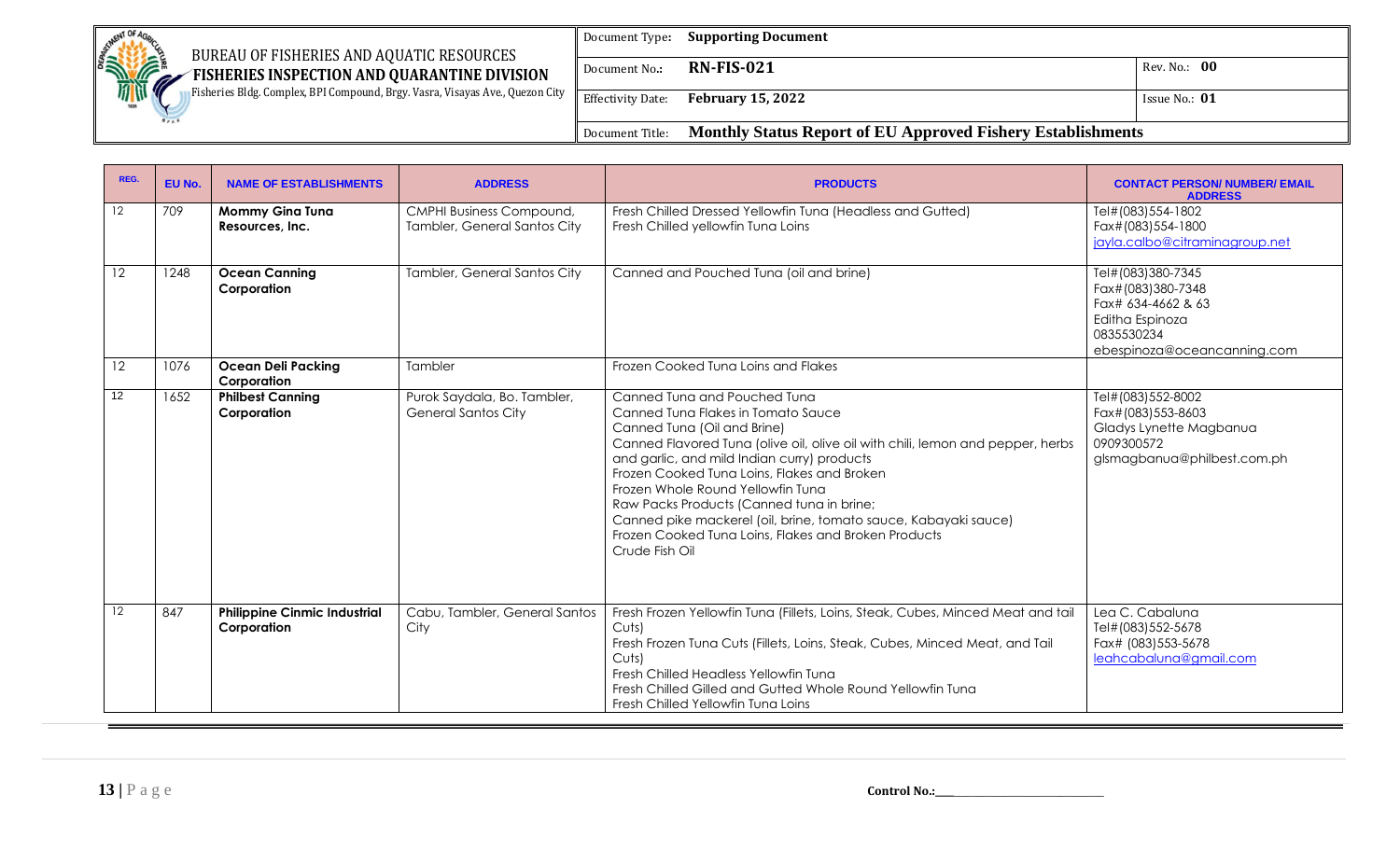| <b>BATTHENT OF AC</b>                                                                                                                   | Document Type:           | <b>Supporting Document</b>                                         |                 |
|-----------------------------------------------------------------------------------------------------------------------------------------|--------------------------|--------------------------------------------------------------------|-----------------|
| BUREAU OF FISHERIES AND AQUATIC RESOURCES<br><b>SERVICE</b><br>$\epsilon$ FISHERIES INSPECTION AND QUARANTINE DIVISION<br>$\mathscr{M}$ | Document No.:            | $RN$ -FIS-021                                                      | Rev. No.: 00    |
| Fisheries Bldg. Complex, BPI Compound, Brgy. Vasra, Visayas Ave., Quezon City<br>189                                                    | <b>Effectivity Date:</b> | <b>February 15, 2022</b>                                           | Issue No.: $01$ |
|                                                                                                                                         | Document Title:          | <b>Monthly Status Report of EU Approved Fishery Establishments</b> |                 |

| REG.            | EU No. | <b>NAME OF ESTABLISHMENTS</b>                      | <b>ADDRESS</b>                                                  | <b>PRODUCTS</b>                                                                                                                                                                                                                                                                                                                                                                                                                                                                                                  | <b>CONTACT PERSON/ NUMBER/ EMAIL</b><br><b>ADDRESS</b>                                                                       |
|-----------------|--------|----------------------------------------------------|-----------------------------------------------------------------|------------------------------------------------------------------------------------------------------------------------------------------------------------------------------------------------------------------------------------------------------------------------------------------------------------------------------------------------------------------------------------------------------------------------------------------------------------------------------------------------------------------|------------------------------------------------------------------------------------------------------------------------------|
| 12              | 709    | <b>Mommy Gina Tuna</b><br>Resources, Inc.          | <b>CMPHI Business Compound,</b><br>Tambler, General Santos City | Fresh Chilled Dressed Yellowfin Tuna (Headless and Gutted)<br>Fresh Chilled yellowfin Tuna Loins                                                                                                                                                                                                                                                                                                                                                                                                                 | Tel#(083)554-1802<br>Fax#(083)554-1800<br>jayla.calbo@citraminagroup.net                                                     |
| 12 <sup>°</sup> | 1248   | <b>Ocean Canning</b><br>Corporation                | Tambler, General Santos City                                    | Canned and Pouched Tuna (oil and brine)                                                                                                                                                                                                                                                                                                                                                                                                                                                                          | Tel#(083)380-7345<br>Fax#(083)380-7348<br>Fax# 634-4662 & 63<br>Editha Espinoza<br>0835530234<br>ebespinoza@oceancanning.com |
| 12              | 1076   | <b>Ocean Deli Packing</b><br>Corporation           | Tambler                                                         | Frozen Cooked Tuna Loins and Flakes                                                                                                                                                                                                                                                                                                                                                                                                                                                                              |                                                                                                                              |
| 12 <sup>°</sup> | 1652   | <b>Philbest Canning</b><br>Corporation             | Purok Saydala, Bo. Tambler,<br><b>General Santos City</b>       | Canned Tung and Pouched Tung<br>Canned Tuna Flakes in Tomato Sauce<br>Canned Tuna (Oil and Brine)<br>Canned Flavored Tuna (olive oil, olive oil with chili, lemon and pepper, herbs<br>and garlic, and mild Indian curry) products<br>Frozen Cooked Tuna Loins, Flakes and Broken<br>Frozen Whole Round Yellowfin Tuna<br>Raw Packs Products (Canned tuna in brine;<br>Canned pike mackerel (oil, brine, tomato sauce, Kabayaki sauce)<br>Frozen Cooked Tung Loins, Flakes and Broken Products<br>Crude Fish Oil | Tel#(083)552-8002<br>Fax#(083)553-8603<br>Gladys Lynette Magbanua<br>0909300572<br>glsmagbanua@philbest.com.ph               |
| $12 \,$         | 847    | <b>Philippine Cinmic Industrial</b><br>Corporation | Cabu, Tambler, General Santos<br>City                           | Fresh Frozen Yellowfin Tuna (Fillets, Loins, Steak, Cubes, Minced Meat and tail<br>Cuts<br>Fresh Frozen Tuna Cuts (Fillets, Loins, Steak, Cubes, Minced Meat, and Tail<br>Cuts<br>Fresh Chilled Headless Yellowfin Tuna<br>Fresh Chilled Gilled and Gutted Whole Round Yellowfin Tuna<br>Fresh Chilled Yellowfin Tung Loins                                                                                                                                                                                      | Lea C. Cabaluna<br>Tel#(083)552-5678<br>Fax# (083) 553-5678<br>leahcabaluna@gmail.com                                        |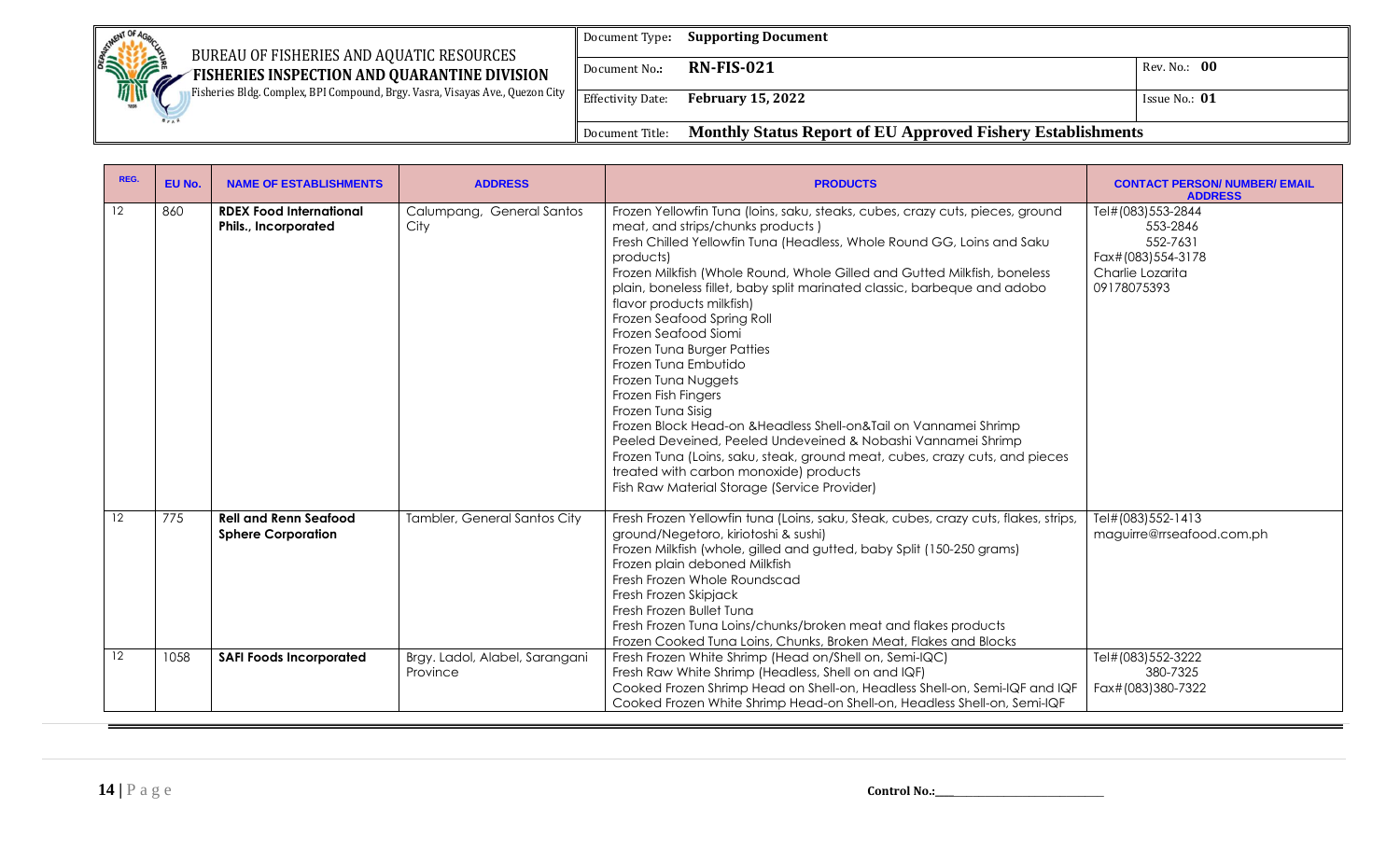| Jerment OF 4c<br>BUREAU OF FISHERIES AND AQUATIC RESOURCES                                    | Document Type:           | <b>Supporting Document</b>                                         |                 |
|-----------------------------------------------------------------------------------------------|--------------------------|--------------------------------------------------------------------|-----------------|
| <b>SEARCH AND RESPONSIVE</b><br>FISHERIES INSPECTION AND QUARANTINE DIVISION<br>$\mathscr{M}$ | Document No.:            | <b>RN-FIS-021</b>                                                  | Rev. No.: 00    |
| Fisheries Bldg. Complex, BPI Compound, Brgy. Vasra, Visayas Ave., Quezon City                 | <b>Effectivity Date:</b> | <b>February 15, 2022</b>                                           | Issue No.: $01$ |
|                                                                                               | Document Title:          | <b>Monthly Status Report of EU Approved Fishery Establishments</b> |                 |

| REG.            | EU No. | <b>NAME OF ESTABLISHMENTS</b>                             | <b>ADDRESS</b>                             | <b>PRODUCTS</b>                                                                                                                                                                                                                                                                                                                                                                                                                                                                                                                                                                                                                                                                                                                                                                                                                                                                            | <b>CONTACT PERSON/ NUMBER/ EMAIL</b><br><b>ADDRESS</b>                                            |
|-----------------|--------|-----------------------------------------------------------|--------------------------------------------|--------------------------------------------------------------------------------------------------------------------------------------------------------------------------------------------------------------------------------------------------------------------------------------------------------------------------------------------------------------------------------------------------------------------------------------------------------------------------------------------------------------------------------------------------------------------------------------------------------------------------------------------------------------------------------------------------------------------------------------------------------------------------------------------------------------------------------------------------------------------------------------------|---------------------------------------------------------------------------------------------------|
| $12 \,$         | 860    | <b>RDEX Food International</b><br>Phils., Incorporated    | Calumpang, General Santos<br>City          | Frozen Yellowfin Tuna (loins, saku, steaks, cubes, crazy cuts, pieces, ground<br>meat, and strips/chunks products)<br>Fresh Chilled Yellowfin Tuna (Headless, Whole Round GG, Loins and Saku<br>products)<br>Frozen Milkfish (Whole Round, Whole Gilled and Gutted Milkfish, boneless<br>plain, boneless fillet, baby split marinated classic, barbeque and adobo<br>flavor products milkfish)<br>Frozen Seafood Spring Roll<br>Frozen Seafood Siomi<br>Frozen Tuna Burger Patties<br>Frozen Tuna Embutido<br>Frozen Tuna Nuggets<br>Frozen Fish Fingers<br>Frozen Tuna Sisig<br>Frozen Block Head-on & Headless Shell-on&Tail on Vannamei Shrimp<br>Peeled Deveined, Peeled Undeveined & Nobashi Vannamei Shrimp<br>Frozen Tuna (Loins, saku, steak, ground meat, cubes, crazy cuts, and pieces<br>treated with carbon monoxide) products<br>Fish Raw Material Storage (Service Provider) | Tel#(083)553-2844<br>553-2846<br>552-7631<br>Fax#(083)554-3178<br>Charlie Lozarita<br>09178075393 |
| 12 <sup>°</sup> | 775    | <b>Rell and Renn Seafood</b><br><b>Sphere Corporation</b> | Tambler, General Santos City               | Fresh Frozen Yellowfin tuna (Loins, saku, Steak, cubes, crazy cuts, flakes, strips,<br>ground/Negetoro, kiriotoshi & sushi)<br>Frozen Milkfish (whole, gilled and gutted, baby Split (150-250 grams)<br>Frozen plain deboned Milkfish<br>Fresh Frozen Whole Roundscad<br>Fresh Frozen Skipjack<br>Fresh Frozen Bullet Tung<br>Fresh Frozen Tuna Loins/chunks/broken meat and flakes products<br>Frozen Cooked Tuna Loins, Chunks, Broken Meat, Flakes and Blocks                                                                                                                                                                                                                                                                                                                                                                                                                           | Tel#(083)552-1413<br>maguirre@rrseafood.com.ph                                                    |
| 12 <sup>°</sup> | 1058   | <b>SAFI Foods Incorporated</b>                            | Brgy. Ladol, Alabel, Sarangani<br>Province | Fresh Frozen White Shrimp (Head on/Shell on, Semi-IQC)<br>Fresh Raw White Shrimp (Headless, Shell on and IQF)<br>Cooked Frozen Shrimp Head on Shell-on, Headless Shell-on, Semi-IQF and IQF<br>Cooked Frozen White Shrimp Head-on Shell-on, Headless Shell-on, Semi-IQF                                                                                                                                                                                                                                                                                                                                                                                                                                                                                                                                                                                                                    | Tel#(083)552-3222<br>380-7325<br>Fax#(083)380-7322                                                |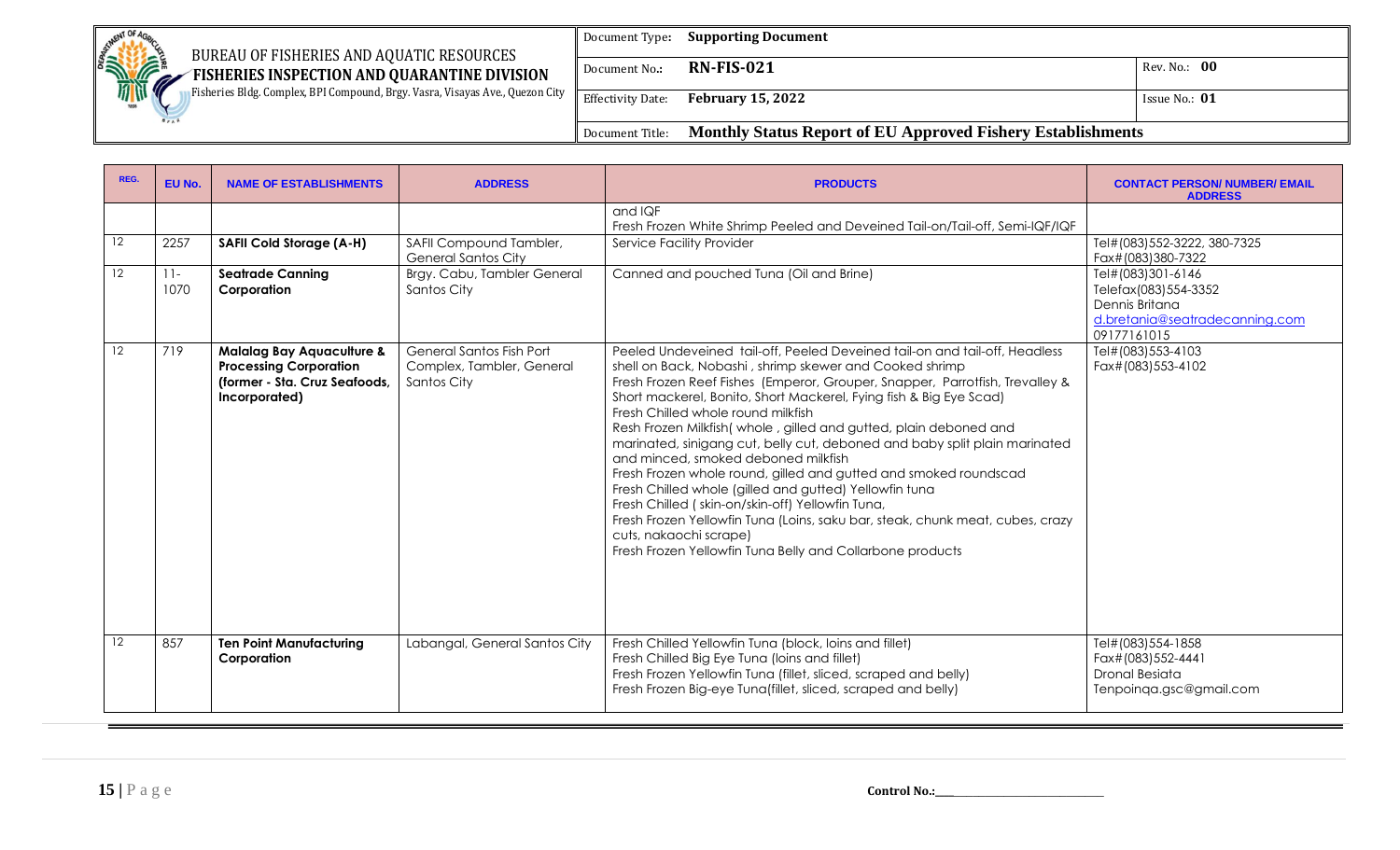| <b>SETWENT OF AG</b>                                                                                                           | Document Type:           | <b>Supporting Document</b>                                         |                 |
|--------------------------------------------------------------------------------------------------------------------------------|--------------------------|--------------------------------------------------------------------|-----------------|
| BUREAU OF FISHERIES AND AQUATIC RESOURCES<br><b>SHOPPORT!</b><br>FISHERIES INSPECTION AND QUARANTINE DIVISION<br>$\mathscr{M}$ | Document No.:            | <b>RN-FIS-021</b>                                                  | Rev. No.: 00    |
| Fisheries Bldg. Complex, BPI Compound, Brgy. Vasra, Visayas Ave., Quezon City                                                  | <b>Effectivity Date:</b> | <b>February 15, 2022</b>                                           | Issue No.: $01$ |
|                                                                                                                                | Document Title:          | <b>Monthly Status Report of EU Approved Fishery Establishments</b> |                 |

| REG. | EU No.         | <b>NAME OF ESTABLISHMENTS</b>                                                                                           | <b>ADDRESS</b>                                                       | <b>PRODUCTS</b>                                                                                                                                                                                                                                                                                                                                                                                                                                                                                                                                                                                                                                                                                                                                                                                                                                                                       | <b>CONTACT PERSON/ NUMBER/ EMAIL</b><br><b>ADDRESS</b>                                                       |
|------|----------------|-------------------------------------------------------------------------------------------------------------------------|----------------------------------------------------------------------|---------------------------------------------------------------------------------------------------------------------------------------------------------------------------------------------------------------------------------------------------------------------------------------------------------------------------------------------------------------------------------------------------------------------------------------------------------------------------------------------------------------------------------------------------------------------------------------------------------------------------------------------------------------------------------------------------------------------------------------------------------------------------------------------------------------------------------------------------------------------------------------|--------------------------------------------------------------------------------------------------------------|
| 12   | 2257           |                                                                                                                         | SAFII Compound Tambler,                                              | and IQF<br>Fresh Frozen White Shrimp Peeled and Deveined Tail-on/Tail-off, Semi-IQF/IQF<br>Service Facility Provider                                                                                                                                                                                                                                                                                                                                                                                                                                                                                                                                                                                                                                                                                                                                                                  | Tel#(083)552-3222, 380-7325                                                                                  |
|      |                | <b>SAFII Cold Storage (A-H)</b>                                                                                         | <b>General Santos City</b>                                           |                                                                                                                                                                                                                                                                                                                                                                                                                                                                                                                                                                                                                                                                                                                                                                                                                                                                                       | Fax#(083)380-7322                                                                                            |
| 12   | $11 -$<br>1070 | <b>Seatrade Canning</b><br>Corporation                                                                                  | Brgy. Cabu, Tambler General<br>Santos City                           | Canned and pouched Tuna (Oil and Brine)                                                                                                                                                                                                                                                                                                                                                                                                                                                                                                                                                                                                                                                                                                                                                                                                                                               | Tel#(083)301-6146<br>Telefax(083)554-3352<br>Dennis Britana<br>d.bretania@seatradecanning.com<br>09177161015 |
| 12   | 719            | <b>Malalag Bay Aquaculture &amp;</b><br><b>Processing Corporation</b><br>(former - Sta. Cruz Seafoods,<br>Incorporated) | General Santos Fish Port<br>Complex, Tambler, General<br>Santos City | Peeled Undeveined tail-off, Peeled Deveined tail-on and tail-off, Headless<br>shell on Back, Nobashi, shrimp skewer and Cooked shrimp<br>Fresh Frozen Reef Fishes (Emperor, Grouper, Snapper, Parrotfish, Trevalley &<br>Short mackerel, Bonito, Short Mackerel, Fying fish & Big Eye Scad)<br>Fresh Chilled whole round milkfish<br>Resh Frozen Milkfish (whole, gilled and gutted, plain deboned and<br>marinated, sinigang cut, belly cut, deboned and baby split plain marinated<br>and minced, smoked deboned milkfish<br>Fresh Frozen whole round, gilled and gutted and smoked roundscad<br>Fresh Chilled whole (gilled and gutted) Yellowfin tuna<br>Fresh Chilled (skin-on/skin-off) Yellowfin Tuna,<br>Fresh Frozen Yellowfin Tuna (Loins, saku bar, steak, chunk meat, cubes, crazy<br>cuts, nakaochi scrape)<br>Fresh Frozen Yellowfin Tuna Belly and Collarbone products | Tel#(083)553-4103<br>Fax#(083)553-4102                                                                       |
| 12   | 857            | <b>Ten Point Manufacturing</b><br>Corporation                                                                           | Labangal, General Santos City                                        | Fresh Chilled Yellowfin Tuna (block, loins and fillet)<br>Fresh Chilled Big Eye Tuna (loins and fillet)<br>Fresh Frozen Yellowfin Tuna (fillet, sliced, scraped and belly)<br>Fresh Frozen Big-eye Tuna(fillet, sliced, scraped and belly)                                                                                                                                                                                                                                                                                                                                                                                                                                                                                                                                                                                                                                            | Tel#(083)554-1858<br>Fax#(083)552-4441<br>Dronal Besiata<br>Tenpoinqa.gsc@gmail.com                          |